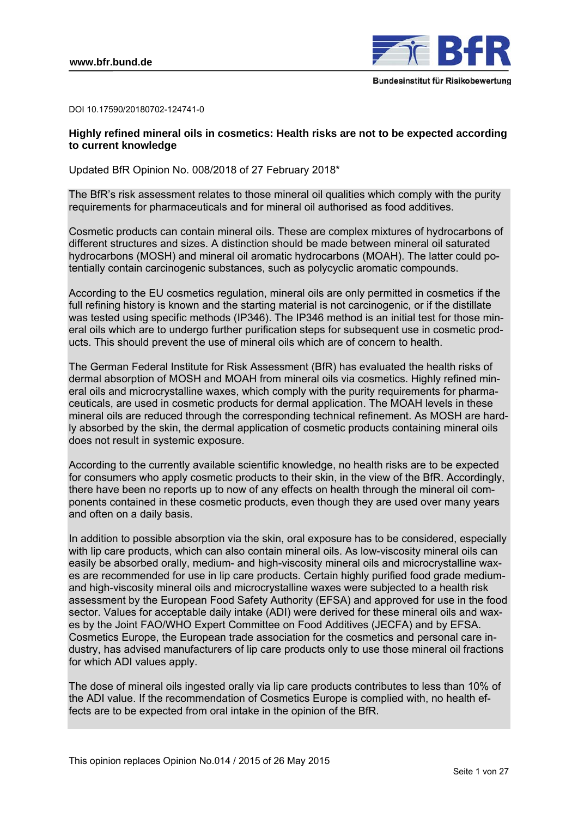

DOI 10.17590/20180702-124741-0

## **Highly refined mineral oils in cosmetics: Health risks are not to be expected according to current knowledge**

Updated BfR Opinion No. 008/2018 of 27 February 2018\*

The BfR's risk assessment relates to those mineral oil qualities which comply with the purity requirements for pharmaceuticals and for mineral oil authorised as food additives.

Cosmetic products can contain mineral oils. These are complex mixtures of hydrocarbons of different structures and sizes. A distinction should be made between mineral oil saturated hydrocarbons (MOSH) and mineral oil aromatic hydrocarbons (MOAH). The latter could potentially contain carcinogenic substances, such as polycyclic aromatic compounds.

According to the EU cosmetics regulation, mineral oils are only permitted in cosmetics if the full refining history is known and the starting material is not carcinogenic, or if the distillate was tested using specific methods (IP346). The IP346 method is an initial test for those mineral oils which are to undergo further purification steps for subsequent use in cosmetic products. This should prevent the use of mineral oils which are of concern to health.

The German Federal Institute for Risk Assessment (BfR) has evaluated the health risks of dermal absorption of MOSH and MOAH from mineral oils via cosmetics. Highly refined mineral oils and microcrystalline waxes, which comply with the purity requirements for pharmaceuticals, are used in cosmetic products for dermal application. The MOAH levels in these mineral oils are reduced through the corresponding technical refinement. As MOSH are hardly absorbed by the skin, the dermal application of cosmetic products containing mineral oils does not result in systemic exposure.

According to the currently available scientific knowledge, no health risks are to be expected for consumers who apply cosmetic products to their skin, in the view of the BfR. Accordingly, there have been no reports up to now of any effects on health through the mineral oil components contained in these cosmetic products, even though they are used over many years and often on a daily basis.

In addition to possible absorption via the skin, oral exposure has to be considered, especially with lip care products, which can also contain mineral oils. As low-viscosity mineral oils can easily be absorbed orally, medium- and high-viscosity mineral oils and microcrystalline waxes are recommended for use in lip care products. Certain highly purified food grade mediumand high-viscosity mineral oils and microcrystalline waxes were subjected to a health risk assessment by the European Food Safety Authority (EFSA) and approved for use in the food sector. Values for acceptable daily intake (ADI) were derived for these mineral oils and waxes by the Joint FAO/WHO Expert Committee on Food Additives (JECFA) and by EFSA. Cosmetics Europe, the European trade association for the cosmetics and personal care industry, has advised manufacturers of lip care products only to use those mineral oil fractions for which ADI values apply.

The dose of mineral oils ingested orally via lip care products contributes to less than 10% of the ADI value. If the recommendation of Cosmetics Europe is complied with, no health effects are to be expected from oral intake in the opinion of the BfR.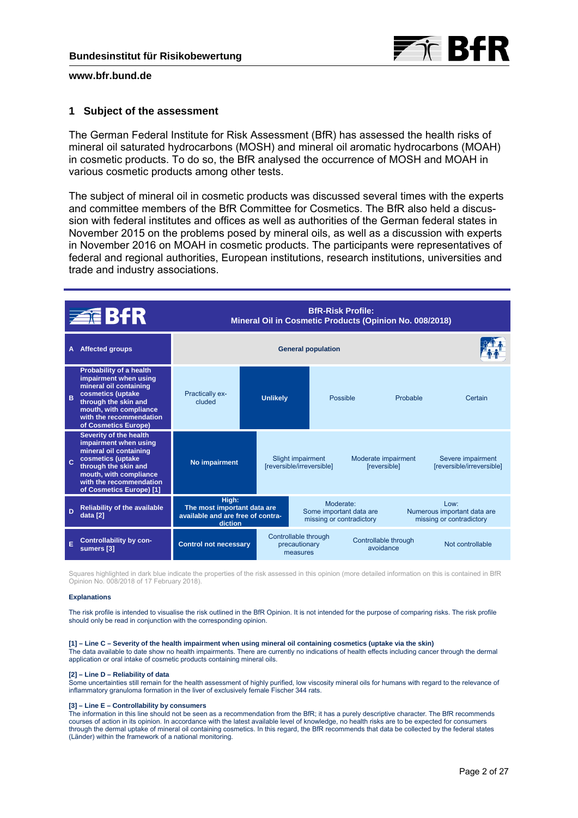

### **1 Subject of the assessment**

The German Federal Institute for Risk Assessment (BfR) has assessed the health risks of mineral oil saturated hydrocarbons (MOSH) and mineral oil aromatic hydrocarbons (MOAH) in cosmetic products. To do so, the BfR analysed the occurrence of MOSH and MOAH in various cosmetic products among other tests.

The subject of mineral oil in cosmetic products was discussed several times with the experts and committee members of the BfR Committee for Cosmetics. The BfR also held a discussion with federal institutes and offices as well as authorities of the German federal states in November 2015 on the problems posed by mineral oils, as well as a discussion with experts in November 2016 on MOAH in cosmetic products. The participants were representatives of federal and regional authorities, European institutions, research institutions, universities and trade and industry associations.

|              | <b>BfR-Risk Profile:</b><br><b>ZEBFR</b><br>Mineral Oil in Cosmetic Products (Opinion No. 008/2018)                                                                                                     |                                                                                      |                 |                                                                  |          |                                   |                                                                    |                                                |
|--------------|---------------------------------------------------------------------------------------------------------------------------------------------------------------------------------------------------------|--------------------------------------------------------------------------------------|-----------------|------------------------------------------------------------------|----------|-----------------------------------|--------------------------------------------------------------------|------------------------------------------------|
| A            | <b>Affected groups</b>                                                                                                                                                                                  | <b>General population</b>                                                            |                 |                                                                  |          |                                   |                                                                    |                                                |
| B            | Probability of a health<br>impairment when using<br>mineral oil containing<br>cosmetics (uptake<br>through the skin and<br>mouth, with compliance<br>with the recommendation<br>of Cosmetics Europe)    | <b>Practically ex-</b><br>cluded                                                     | <b>Unlikely</b> |                                                                  | Possible |                                   | Probable                                                           | Certain                                        |
| $\mathbf{C}$ | Severity of the health<br>impairment when using<br>mineral oil containing<br>cosmetics (uptake<br>through the skin and<br>mouth, with compliance<br>with the recommendation<br>of Cosmetics Europe) [1] | No impairment                                                                        |                 | Slight impairment<br>[reversible/irreversible]                   |          |                                   | Moderate impairment<br>[reversible]                                | Severe impairment<br>[reversible/irreversible] |
| D            | <b>Reliability of the available</b><br>data [2]                                                                                                                                                         | High:<br>The most important data are<br>available and are free of contra-<br>diction |                 | Moderate:<br>Some important data are<br>missing or contradictory |          |                                   | $1$ OW:<br>Numerous important data are<br>missing or contradictory |                                                |
| Ē            | <b>Controllability by con-</b><br>sumers [3]                                                                                                                                                            | <b>Control not necessary</b>                                                         |                 | Controllable through<br>precautionary<br>measures                |          | Controllable through<br>avoidance |                                                                    | Not controllable                               |

Squares highlighted in dark blue indicate the properties of the risk assessed in this opinion (more detailed information on this is contained in BfR Opinion No. 008/2018 of 17 February 2018).

#### **Explanations**

The risk profile is intended to visualise the risk outlined in the BfR Opinion. It is not intended for the purpose of comparing risks. The risk profile should only be read in conjunction with the corresponding opinion.

#### **[1] – Line C – Severity of the health impairment when using mineral oil containing cosmetics (uptake via the skin)**

The data available to date show no health impairments. There are currently no indications of health effects including cancer through the dermal application or oral intake of cosmetic products containing mineral oils.

#### **[2] – Line D – Reliability of data**

Some uncertainties still remain for the health assessment of highly purified, low viscosity mineral oils for humans with regard to the relevance of inflammatory granuloma formation in the liver of exclusively female Fischer 344 rats.

#### **[3] – Line E – Controllability by consumers**

The information in this line should not be seen as a recommendation from the BfR; it has a purely descriptive character. The BfR recommends courses of action in its opinion. In accordance with the latest available level of knowledge, no health risks are to be expected for consumers through the dermal uptake of mineral oil containing cosmetics. In this regard, the BfR recommends that data be collected by the federal states (Länder) within the framework of a national monitoring.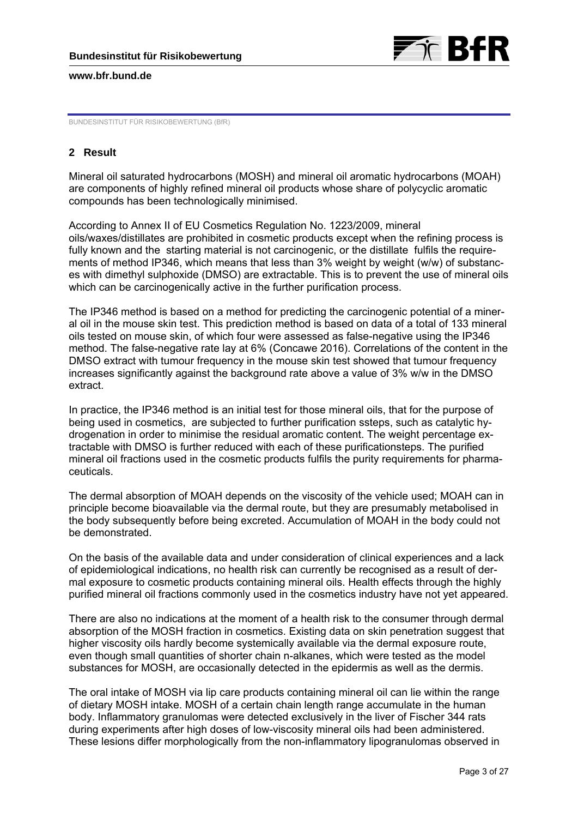



BUNDESINSTITUT FÜR RISIKOBEWERTUNG (BfR)

# **2 Result**

Mineral oil saturated hydrocarbons (MOSH) and mineral oil aromatic hydrocarbons (MOAH) are components of highly refined mineral oil products whose share of polycyclic aromatic compounds has been technologically minimised.

According to Annex II of EU Cosmetics Regulation No. 1223/2009, mineral oils/waxes/distillates are prohibited in cosmetic products except when the refining process is fully known and the starting material is not carcinogenic, or the distillate fulfils the requirements of method IP346, which means that less than 3% weight by weight (w/w) of substances with dimethyl sulphoxide (DMSO) are extractable. This is to prevent the use of mineral oils which can be carcinogenically active in the further purification process.

The IP346 method is based on a method for predicting the carcinogenic potential of a mineral oil in the mouse skin test. This prediction method is based on data of a total of 133 mineral oils tested on mouse skin, of which four were assessed as false-negative using the IP346 method. The false-negative rate lay at 6% (Concawe 2016). Correlations of the content in the DMSO extract with tumour frequency in the mouse skin test showed that tumour frequency increases significantly against the background rate above a value of 3% w/w in the DMSO extract.

In practice, the IP346 method is an initial test for those mineral oils, that for the purpose of being used in cosmetics, are subjected to further purification ssteps, such as catalytic hydrogenation in order to minimise the residual aromatic content. The weight percentage extractable with DMSO is further reduced with each of these purificationsteps. The purified mineral oil fractions used in the cosmetic products fulfils the purity requirements for pharmaceuticals.

The dermal absorption of MOAH depends on the viscosity of the vehicle used; MOAH can in principle become bioavailable via the dermal route, but they are presumably metabolised in the body subsequently before being excreted. Accumulation of MOAH in the body could not be demonstrated.

On the basis of the available data and under consideration of clinical experiences and a lack of epidemiological indications, no health risk can currently be recognised as a result of dermal exposure to cosmetic products containing mineral oils. Health effects through the highly purified mineral oil fractions commonly used in the cosmetics industry have not yet appeared.

There are also no indications at the moment of a health risk to the consumer through dermal absorption of the MOSH fraction in cosmetics. Existing data on skin penetration suggest that higher viscosity oils hardly become systemically available via the dermal exposure route, even though small quantities of shorter chain n-alkanes, which were tested as the model substances for MOSH, are occasionally detected in the epidermis as well as the dermis.

The oral intake of MOSH via lip care products containing mineral oil can lie within the range of dietary MOSH intake. MOSH of a certain chain length range accumulate in the human body. Inflammatory granulomas were detected exclusively in the liver of Fischer 344 rats during experiments after high doses of low-viscosity mineral oils had been administered. These lesions differ morphologically from the non-inflammatory lipogranulomas observed in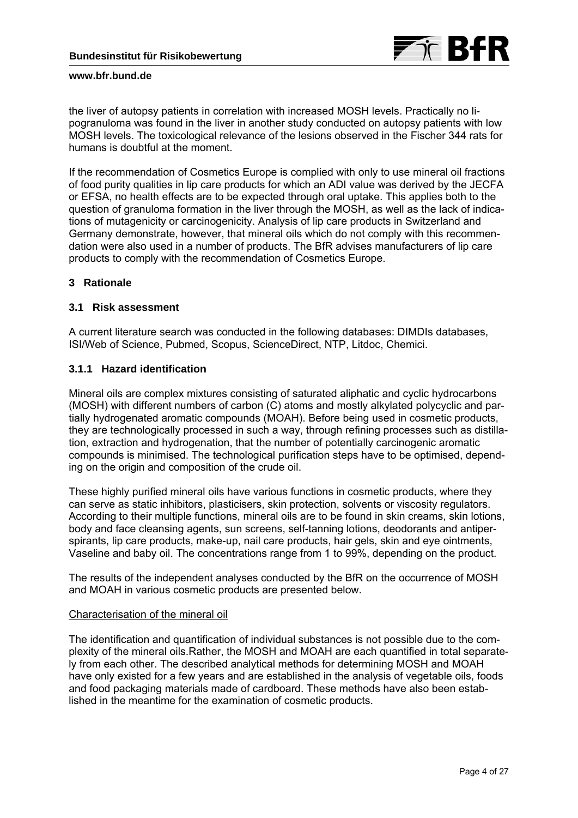

the liver of autopsy patients in correlation with increased MOSH levels. Practically no lipogranuloma was found in the liver in another study conducted on autopsy patients with low MOSH levels. The toxicological relevance of the lesions observed in the Fischer 344 rats for humans is doubtful at the moment.

If the recommendation of Cosmetics Europe is complied with only to use mineral oil fractions of food purity qualities in lip care products for which an ADI value was derived by the JECFA or EFSA, no health effects are to be expected through oral uptake. This applies both to the question of granuloma formation in the liver through the MOSH, as well as the lack of indications of mutagenicity or carcinogenicity. Analysis of lip care products in Switzerland and Germany demonstrate, however, that mineral oils which do not comply with this recommendation were also used in a number of products. The BfR advises manufacturers of lip care products to comply with the recommendation of Cosmetics Europe.

## **3 Rationale**

### **3.1 Risk assessment**

A current literature search was conducted in the following databases: DIMDIs databases, ISI/Web of Science, Pubmed, Scopus, ScienceDirect, NTP, Litdoc, Chemici.

## **3.1.1 Hazard identification**

Mineral oils are complex mixtures consisting of saturated aliphatic and cyclic hydrocarbons (MOSH) with different numbers of carbon (C) atoms and mostly alkylated polycyclic and partially hydrogenated aromatic compounds (MOAH). Before being used in cosmetic products, they are technologically processed in such a way, through refining processes such as distillation, extraction and hydrogenation, that the number of potentially carcinogenic aromatic compounds is minimised. The technological purification steps have to be optimised, depending on the origin and composition of the crude oil.

These highly purified mineral oils have various functions in cosmetic products, where they can serve as static inhibitors, plasticisers, skin protection, solvents or viscosity regulators. According to their multiple functions, mineral oils are to be found in skin creams, skin lotions, body and face cleansing agents, sun screens, self-tanning lotions, deodorants and antiperspirants, lip care products, make-up, nail care products, hair gels, skin and eye ointments, Vaseline and baby oil. The concentrations range from 1 to 99%, depending on the product.

The results of the independent analyses conducted by the BfR on the occurrence of MOSH and MOAH in various cosmetic products are presented below.

### Characterisation of the mineral oil

The identification and quantification of individual substances is not possible due to the complexity of the mineral oils.Rather, the MOSH and MOAH are each quantified in total separately from each other. The described analytical methods for determining MOSH and MOAH have only existed for a few years and are established in the analysis of vegetable oils, foods and food packaging materials made of cardboard. These methods have also been established in the meantime for the examination of cosmetic products.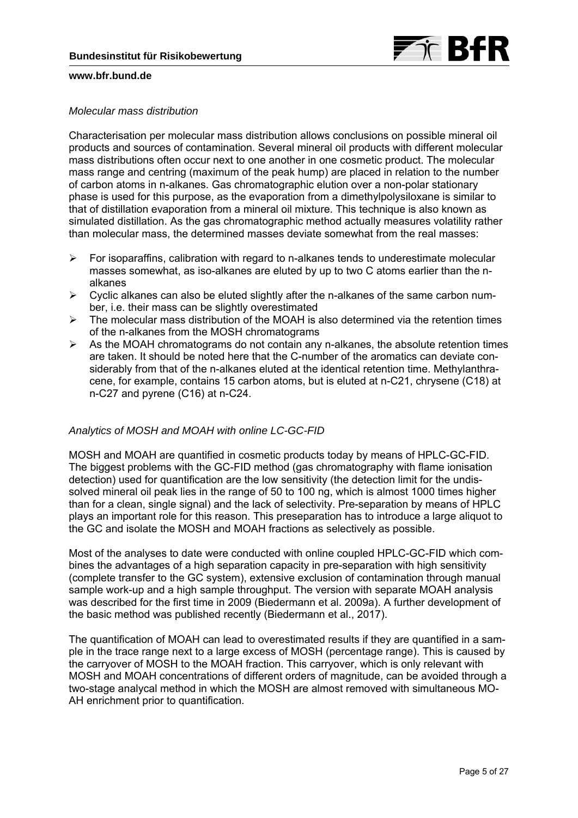

### *Molecular mass distribution*

Characterisation per molecular mass distribution allows conclusions on possible mineral oil products and sources of contamination. Several mineral oil products with different molecular mass distributions often occur next to one another in one cosmetic product. The molecular mass range and centring (maximum of the peak hump) are placed in relation to the number of carbon atoms in n-alkanes. Gas chromatographic elution over a non-polar stationary phase is used for this purpose, as the evaporation from a dimethylpolysiloxane is similar to that of distillation evaporation from a mineral oil mixture. This technique is also known as simulated distillation. As the gas chromatographic method actually measures volatility rather than molecular mass, the determined masses deviate somewhat from the real masses:

- $\triangleright$  For isoparaffins, calibration with regard to n-alkanes tends to underestimate molecular masses somewhat, as iso-alkanes are eluted by up to two C atoms earlier than the nalkanes
- $\triangleright$  Cyclic alkanes can also be eluted slightly after the n-alkanes of the same carbon number, i.e. their mass can be slightly overestimated
- $\triangleright$  The molecular mass distribution of the MOAH is also determined via the retention times of the n-alkanes from the MOSH chromatograms
- $\triangleright$  As the MOAH chromatograms do not contain any n-alkanes, the absolute retention times are taken. It should be noted here that the C-number of the aromatics can deviate considerably from that of the n-alkanes eluted at the identical retention time. Methylanthracene, for example, contains 15 carbon atoms, but is eluted at n-C21, chrysene (C18) at n-C27 and pyrene (C16) at n-C24.

## *Analytics of MOSH and MOAH with online LC-GC-FID*

MOSH and MOAH are quantified in cosmetic products today by means of HPLC-GC-FID. The biggest problems with the GC-FID method (gas chromatography with flame ionisation detection) used for quantification are the low sensitivity (the detection limit for the undissolved mineral oil peak lies in the range of 50 to 100 ng, which is almost 1000 times higher than for a clean, single signal) and the lack of selectivity. Pre-separation by means of HPLC plays an important role for this reason. This preseparation has to introduce a large aliquot to the GC and isolate the MOSH and MOAH fractions as selectively as possible.

Most of the analyses to date were conducted with online coupled HPLC-GC-FID which combines the advantages of a high separation capacity in pre-separation with high sensitivity (complete transfer to the GC system), extensive exclusion of contamination through manual sample work-up and a high sample throughput. The version with separate MOAH analysis was described for the first time in 2009 (Biedermann et al. 2009a). A further development of the basic method was published recently (Biedermann et al., 2017).

The quantification of MOAH can lead to overestimated results if they are quantified in a sample in the trace range next to a large excess of MOSH (percentage range). This is caused by the carryover of MOSH to the MOAH fraction. This carryover, which is only relevant with MOSH and MOAH concentrations of different orders of magnitude, can be avoided through a two-stage analycal method in which the MOSH are almost removed with simultaneous MO-AH enrichment prior to quantification.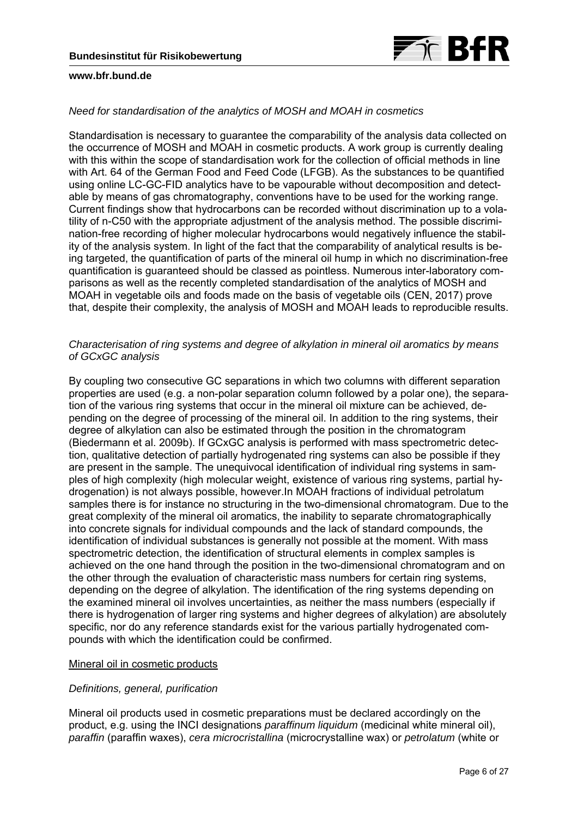

### *Need for standardisation of the analytics of MOSH and MOAH in cosmetics*

Standardisation is necessary to guarantee the comparability of the analysis data collected on the occurrence of MOSH and MOAH in cosmetic products. A work group is currently dealing with this within the scope of standardisation work for the collection of official methods in line with Art. 64 of the German Food and Feed Code (LFGB). As the substances to be quantified using online LC-GC-FID analytics have to be vapourable without decomposition and detectable by means of gas chromatography, conventions have to be used for the working range. Current findings show that hydrocarbons can be recorded without discrimination up to a volatility of n-C50 with the appropriate adjustment of the analysis method. The possible discrimination-free recording of higher molecular hydrocarbons would negatively influence the stability of the analysis system. In light of the fact that the comparability of analytical results is being targeted, the quantification of parts of the mineral oil hump in which no discrimination-free quantification is guaranteed should be classed as pointless. Numerous inter-laboratory comparisons as well as the recently completed standardisation of the analytics of MOSH and MOAH in vegetable oils and foods made on the basis of vegetable oils (CEN, 2017) prove that, despite their complexity, the analysis of MOSH and MOAH leads to reproducible results.

## *Characterisation of ring systems and degree of alkylation in mineral oil aromatics by means of GCxGC analysis*

By coupling two consecutive GC separations in which two columns with different separation properties are used (e.g. a non-polar separation column followed by a polar one), the separation of the various ring systems that occur in the mineral oil mixture can be achieved, depending on the degree of processing of the mineral oil. In addition to the ring systems, their degree of alkylation can also be estimated through the position in the chromatogram (Biedermann et al. 2009b). If GCxGC analysis is performed with mass spectrometric detection, qualitative detection of partially hydrogenated ring systems can also be possible if they are present in the sample. The unequivocal identification of individual ring systems in samples of high complexity (high molecular weight, existence of various ring systems, partial hydrogenation) is not always possible, however.In MOAH fractions of individual petrolatum samples there is for instance no structuring in the two-dimensional chromatogram. Due to the great complexity of the mineral oil aromatics, the inability to separate chromatographically into concrete signals for individual compounds and the lack of standard compounds, the identification of individual substances is generally not possible at the moment. With mass spectrometric detection, the identification of structural elements in complex samples is achieved on the one hand through the position in the two-dimensional chromatogram and on the other through the evaluation of characteristic mass numbers for certain ring systems, depending on the degree of alkylation. The identification of the ring systems depending on the examined mineral oil involves uncertainties, as neither the mass numbers (especially if there is hydrogenation of larger ring systems and higher degrees of alkylation) are absolutely specific, nor do any reference standards exist for the various partially hydrogenated compounds with which the identification could be confirmed.

# Mineral oil in cosmetic products

## *Definitions, general, purification*

Mineral oil products used in cosmetic preparations must be declared accordingly on the product, e.g. using the INCI designations *paraffinum liquidum* (medicinal white mineral oil), *paraffin* (paraffin waxes), *cera microcristallina* (microcrystalline wax) or *petrolatum* (white or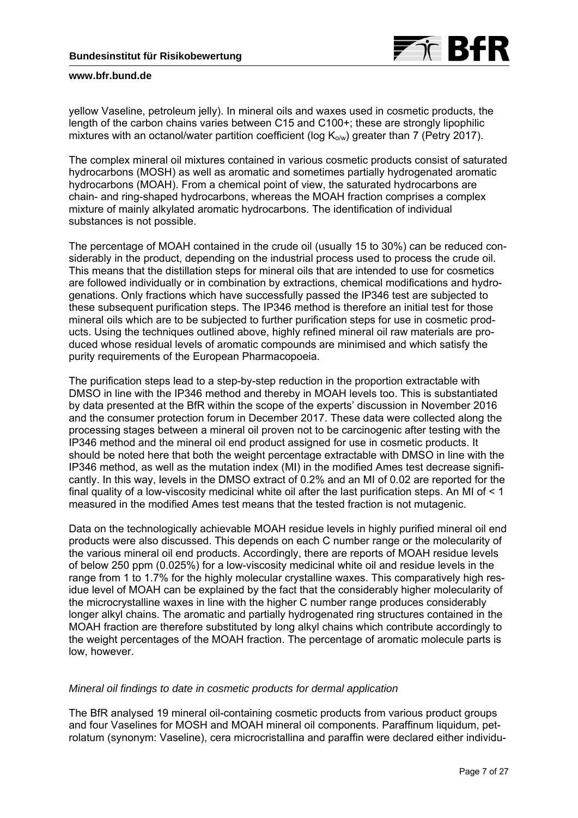

yellow Vaseline, petroleum jelly). In mineral oils and waxes used in cosmetic products, the length of the carbon chains varies between C15 and C100+; these are strongly lipophilic mixtures with an octanol/water partition coefficient (log  $K_{\alpha/\omega}$ ) greater than 7 (Petry 2017).

The complex mineral oil mixtures contained in various cosmetic products consist of saturated hydrocarbons (MOSH) as well as aromatic and sometimes partially hydrogenated aromatic hydrocarbons (MOAH). From a chemical point of view, the saturated hydrocarbons are chain- and ring-shaped hydrocarbons, whereas the MOAH fraction comprises a complex mixture of mainly alkylated aromatic hydrocarbons. The identification of individual substances is not possible.

The percentage of MOAH contained in the crude oil (usually 15 to 30%) can be reduced considerably in the product, depending on the industrial process used to process the crude oil. This means that the distillation steps for mineral oils that are intended to use for cosmetics are followed individually or in combination by extractions, chemical modifications and hydrogenations. Only fractions which have successfully passed the IP346 test are subjected to these subsequent purification steps. The IP346 method is therefore an initial test for those mineral oils which are to be subjected to further purification steps for use in cosmetic products. Using the techniques outlined above, highly refined mineral oil raw materials are produced whose residual levels of aromatic compounds are minimised and which satisfy the purity requirements of the European Pharmacopoeia.

The purification steps lead to a step-by-step reduction in the proportion extractable with DMSO in line with the IP346 method and thereby in MOAH levels too. This is substantiated by data presented at the BfR within the scope of the experts' discussion in November 2016 and the consumer protection forum in December 2017. These data were collected along the processing stages between a mineral oil proven not to be carcinogenic after testing with the IP346 method and the mineral oil end product assigned for use in cosmetic products. It should be noted here that both the weight percentage extractable with DMSO in line with the IP346 method, as well as the mutation index (MI) in the modified Ames test decrease significantly. In this way, levels in the DMSO extract of 0.2% and an MI of 0.02 are reported for the final quality of a low-viscosity medicinal white oil after the last purification steps. An MI of < 1 measured in the modified Ames test means that the tested fraction is not mutagenic.

Data on the technologically achievable MOAH residue levels in highly purified mineral oil end products were also discussed. This depends on each C number range or the molecularity of the various mineral oil end products. Accordingly, there are reports of MOAH residue levels of below 250 ppm (0.025%) for a low-viscosity medicinal white oil and residue levels in the range from 1 to 1.7% for the highly molecular crystalline waxes. This comparatively high residue level of MOAH can be explained by the fact that the considerably higher molecularity of the microcrystalline waxes in line with the higher C number range produces considerably longer alkyl chains. The aromatic and partially hydrogenated ring structures contained in the MOAH fraction are therefore substituted by long alkyl chains which contribute accordingly to the weight percentages of the MOAH fraction. The percentage of aromatic molecule parts is low, however.

## *Mineral oil findings to date in cosmetic products for dermal application*

The BfR analysed 19 mineral oil-containing cosmetic products from various product groups and four Vaselines for MOSH and MOAH mineral oil components. Paraffinum liquidum, petrolatum (synonym: Vaseline), cera microcristallina and paraffin were declared either individu-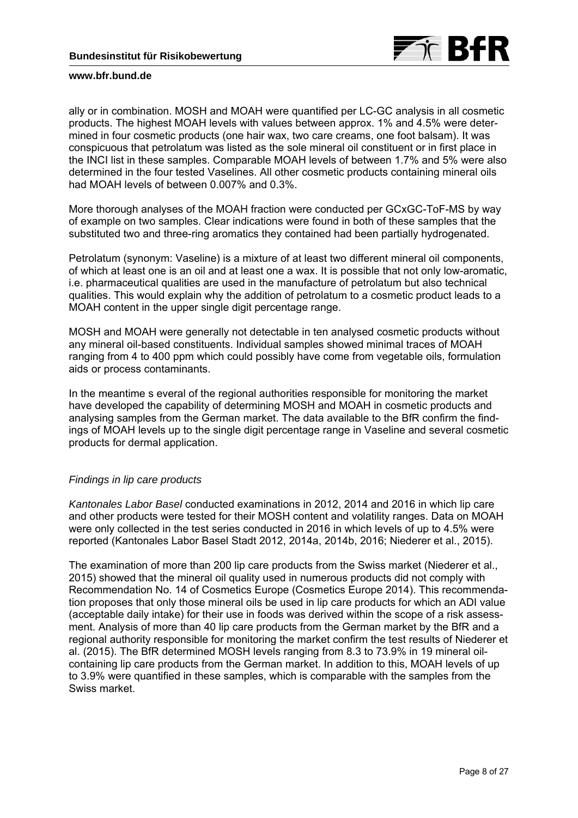

ally or in combination. MOSH and MOAH were quantified per LC-GC analysis in all cosmetic products. The highest MOAH levels with values between approx. 1% and 4.5% were determined in four cosmetic products (one hair wax, two care creams, one foot balsam). It was conspicuous that petrolatum was listed as the sole mineral oil constituent or in first place in the INCI list in these samples. Comparable MOAH levels of between 1.7% and 5% were also determined in the four tested Vaselines. All other cosmetic products containing mineral oils had MOAH levels of between 0.007% and 0.3%.

More thorough analyses of the MOAH fraction were conducted per GCxGC-ToF-MS by way of example on two samples. Clear indications were found in both of these samples that the substituted two and three-ring aromatics they contained had been partially hydrogenated.

Petrolatum (synonym: Vaseline) is a mixture of at least two different mineral oil components, of which at least one is an oil and at least one a wax. It is possible that not only low-aromatic, i.e. pharmaceutical qualities are used in the manufacture of petrolatum but also technical qualities. This would explain why the addition of petrolatum to a cosmetic product leads to a MOAH content in the upper single digit percentage range.

MOSH and MOAH were generally not detectable in ten analysed cosmetic products without any mineral oil-based constituents. Individual samples showed minimal traces of MOAH ranging from 4 to 400 ppm which could possibly have come from vegetable oils, formulation aids or process contaminants.

In the meantime s everal of the regional authorities responsible for monitoring the market have developed the capability of determining MOSH and MOAH in cosmetic products and analysing samples from the German market. The data available to the BfR confirm the findings of MOAH levels up to the single digit percentage range in Vaseline and several cosmetic products for dermal application.

## *Findings in lip care products*

*Kantonales Labor Basel* conducted examinations in 2012, 2014 and 2016 in which lip care and other products were tested for their MOSH content and volatility ranges. Data on MOAH were only collected in the test series conducted in 2016 in which levels of up to 4.5% were reported (Kantonales Labor Basel Stadt 2012, 2014a, 2014b, 2016; Niederer et al., 2015).

The examination of more than 200 lip care products from the Swiss market (Niederer et al., 2015) showed that the mineral oil quality used in numerous products did not comply with Recommendation No. 14 of Cosmetics Europe (Cosmetics Europe 2014). This recommendation proposes that only those mineral oils be used in lip care products for which an ADI value (acceptable daily intake) for their use in foods was derived within the scope of a risk assessment. Analysis of more than 40 lip care products from the German market by the BfR and a regional authority responsible for monitoring the market confirm the test results of Niederer et al. (2015). The BfR determined MOSH levels ranging from 8.3 to 73.9% in 19 mineral oilcontaining lip care products from the German market. In addition to this, MOAH levels of up to 3.9% were quantified in these samples, which is comparable with the samples from the Swiss market.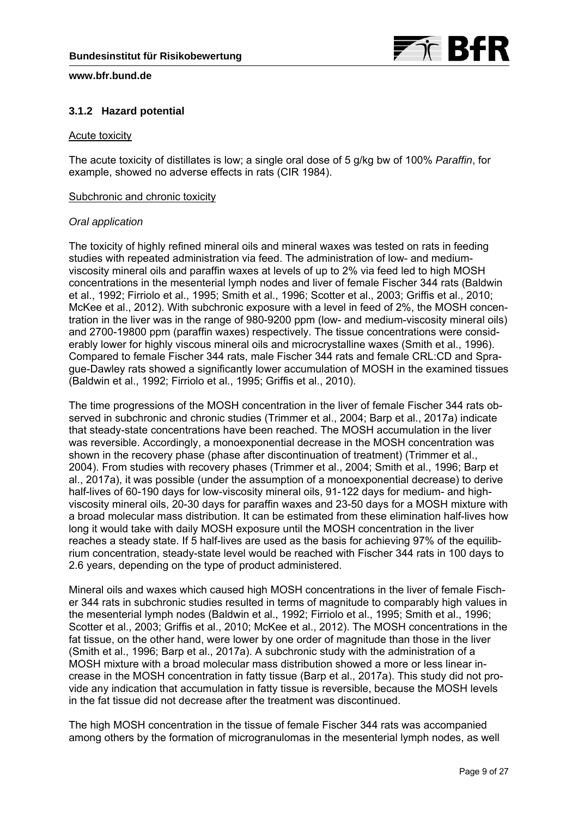

# **3.1.2 Hazard potential**

### Acute toxicity

The acute toxicity of distillates is low; a single oral dose of 5 g/kg bw of 100% *Paraffin*, for example, showed no adverse effects in rats (CIR 1984).

### Subchronic and chronic toxicity

#### *Oral application*

The toxicity of highly refined mineral oils and mineral waxes was tested on rats in feeding studies with repeated administration via feed. The administration of low- and mediumviscosity mineral oils and paraffin waxes at levels of up to 2% via feed led to high MOSH concentrations in the mesenterial lymph nodes and liver of female Fischer 344 rats (Baldwin et al., 1992; Firriolo et al., 1995; Smith et al., 1996; Scotter et al., 2003; Griffis et al., 2010; McKee et al., 2012). With subchronic exposure with a level in feed of 2%, the MOSH concentration in the liver was in the range of 980-9200 ppm (low- and medium-viscosity mineral oils) and 2700-19800 ppm (paraffin waxes) respectively. The tissue concentrations were considerably lower for highly viscous mineral oils and microcrystalline waxes (Smith et al., 1996). Compared to female Fischer 344 rats, male Fischer 344 rats and female CRL:CD and Sprague-Dawley rats showed a significantly lower accumulation of MOSH in the examined tissues (Baldwin et al., 1992; Firriolo et al., 1995; Griffis et al., 2010).

The time progressions of the MOSH concentration in the liver of female Fischer 344 rats observed in subchronic and chronic studies (Trimmer et al., 2004; Barp et al., 2017a) indicate that steady-state concentrations have been reached. The MOSH accumulation in the liver was reversible. Accordingly, a monoexponential decrease in the MOSH concentration was shown in the recovery phase (phase after discontinuation of treatment) (Trimmer et al., 2004). From studies with recovery phases (Trimmer et al., 2004; Smith et al., 1996; Barp et al., 2017a), it was possible (under the assumption of a monoexponential decrease) to derive half-lives of 60-190 days for low-viscosity mineral oils, 91-122 days for medium- and highviscosity mineral oils, 20-30 days for paraffin waxes and 23-50 days for a MOSH mixture with a broad molecular mass distribution. It can be estimated from these elimination half-lives how long it would take with daily MOSH exposure until the MOSH concentration in the liver reaches a steady state. If 5 half-lives are used as the basis for achieving 97% of the equilibrium concentration, steady-state level would be reached with Fischer 344 rats in 100 days to 2.6 years, depending on the type of product administered.

Mineral oils and waxes which caused high MOSH concentrations in the liver of female Fischer 344 rats in subchronic studies resulted in terms of magnitude to comparably high values in the mesenterial lymph nodes (Baldwin et al., 1992; Firriolo et al., 1995; Smith et al., 1996; Scotter et al., 2003; Griffis et al., 2010; McKee et al., 2012). The MOSH concentrations in the fat tissue, on the other hand, were lower by one order of magnitude than those in the liver (Smith et al., 1996; Barp et al., 2017a). A subchronic study with the administration of a MOSH mixture with a broad molecular mass distribution showed a more or less linear increase in the MOSH concentration in fatty tissue (Barp et al., 2017a). This study did not provide any indication that accumulation in fatty tissue is reversible, because the MOSH levels in the fat tissue did not decrease after the treatment was discontinued.

The high MOSH concentration in the tissue of female Fischer 344 rats was accompanied among others by the formation of microgranulomas in the mesenterial lymph nodes, as well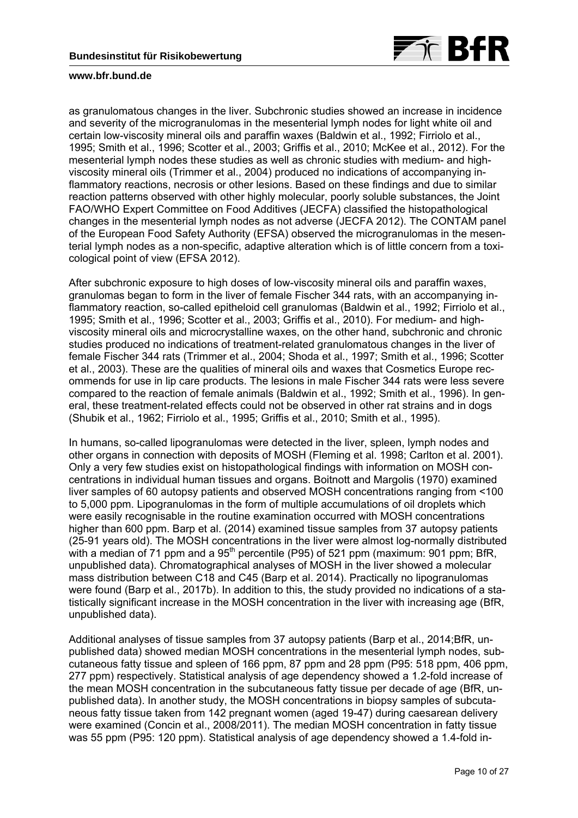

as granulomatous changes in the liver. Subchronic studies showed an increase in incidence and severity of the microgranulomas in the mesenterial lymph nodes for light white oil and certain low-viscosity mineral oils and paraffin waxes (Baldwin et al., 1992; Firriolo et al., 1995; Smith et al., 1996; Scotter et al., 2003; Griffis et al., 2010; McKee et al., 2012). For the mesenterial lymph nodes these studies as well as chronic studies with medium- and highviscosity mineral oils (Trimmer et al., 2004) produced no indications of accompanying inflammatory reactions, necrosis or other lesions. Based on these findings and due to similar reaction patterns observed with other highly molecular, poorly soluble substances, the Joint FAO/WHO Expert Committee on Food Additives (JECFA) classified the histopathological changes in the mesenterial lymph nodes as not adverse (JECFA 2012). The CONTAM panel of the European Food Safety Authority (EFSA) observed the microgranulomas in the mesenterial lymph nodes as a non-specific, adaptive alteration which is of little concern from a toxicological point of view (EFSA 2012).

After subchronic exposure to high doses of low-viscosity mineral oils and paraffin waxes, granulomas began to form in the liver of female Fischer 344 rats, with an accompanying inflammatory reaction, so-called epitheloid cell granulomas (Baldwin et al., 1992; Firriolo et al., 1995; Smith et al., 1996; Scotter et al., 2003; Griffis et al., 2010). For medium- and highviscosity mineral oils and microcrystalline waxes, on the other hand, subchronic and chronic studies produced no indications of treatment-related granulomatous changes in the liver of female Fischer 344 rats (Trimmer et al., 2004; Shoda et al., 1997; Smith et al., 1996; Scotter et al., 2003). These are the qualities of mineral oils and waxes that Cosmetics Europe recommends for use in lip care products. The lesions in male Fischer 344 rats were less severe compared to the reaction of female animals (Baldwin et al., 1992; Smith et al., 1996). In general, these treatment-related effects could not be observed in other rat strains and in dogs (Shubik et al., 1962; Firriolo et al., 1995; Griffis et al., 2010; Smith et al., 1995).

In humans, so-called lipogranulomas were detected in the liver, spleen, lymph nodes and other organs in connection with deposits of MOSH (Fleming et al. 1998; Carlton et al. 2001). Only a very few studies exist on histopathological findings with information on MOSH concentrations in individual human tissues and organs. Boitnott and Margolis (1970) examined liver samples of 60 autopsy patients and observed MOSH concentrations ranging from <100 to 5,000 ppm. Lipogranulomas in the form of multiple accumulations of oil droplets which were easily recognisable in the routine examination occurred with MOSH concentrations higher than 600 ppm. Barp et al. (2014) examined tissue samples from 37 autopsy patients (25-91 years old). The MOSH concentrations in the liver were almost log-normally distributed with a median of 71 ppm and a  $95<sup>th</sup>$  percentile (P95) of 521 ppm (maximum: 901 ppm; BfR, unpublished data). Chromatographical analyses of MOSH in the liver showed a molecular mass distribution between C18 and C45 (Barp et al. 2014). Practically no lipogranulomas were found (Barp et al., 2017b). In addition to this, the study provided no indications of a statistically significant increase in the MOSH concentration in the liver with increasing age (BfR, unpublished data).

Additional analyses of tissue samples from 37 autopsy patients (Barp et al., 2014;BfR, unpublished data) showed median MOSH concentrations in the mesenterial lymph nodes, subcutaneous fatty tissue and spleen of 166 ppm, 87 ppm and 28 ppm (P95: 518 ppm, 406 ppm, 277 ppm) respectively. Statistical analysis of age dependency showed a 1.2-fold increase of the mean MOSH concentration in the subcutaneous fatty tissue per decade of age (BfR, unpublished data). In another study, the MOSH concentrations in biopsy samples of subcutaneous fatty tissue taken from 142 pregnant women (aged 19-47) during caesarean delivery were examined (Concin et al., 2008/2011). The median MOSH concentration in fatty tissue was 55 ppm (P95: 120 ppm). Statistical analysis of age dependency showed a 1.4-fold in-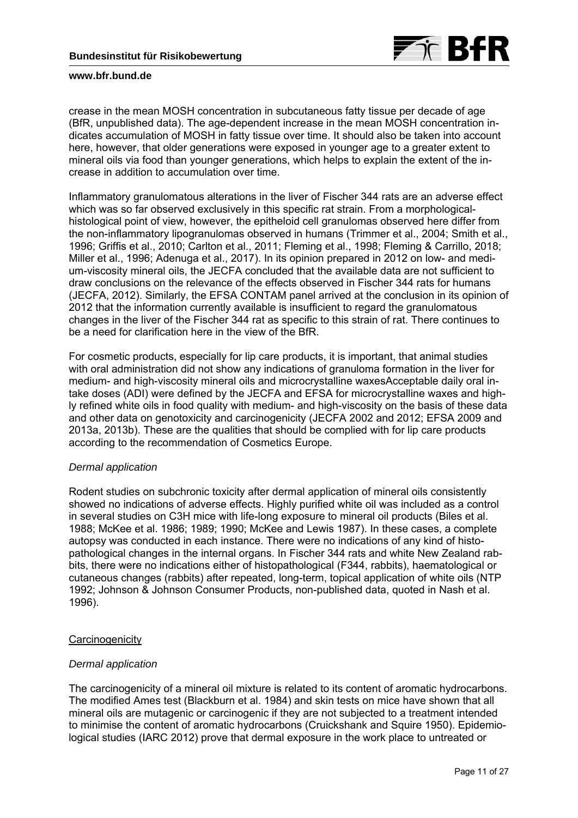

crease in the mean MOSH concentration in subcutaneous fatty tissue per decade of age (BfR, unpublished data). The age-dependent increase in the mean MOSH concentration indicates accumulation of MOSH in fatty tissue over time. It should also be taken into account here, however, that older generations were exposed in younger age to a greater extent to mineral oils via food than younger generations, which helps to explain the extent of the increase in addition to accumulation over time.

Inflammatory granulomatous alterations in the liver of Fischer 344 rats are an adverse effect which was so far observed exclusively in this specific rat strain. From a morphologicalhistological point of view, however, the epitheloid cell granulomas observed here differ from the non-inflammatory lipogranulomas observed in humans (Trimmer et al., 2004; Smith et al., 1996; Griffis et al., 2010; Carlton et al., 2011; Fleming et al., 1998; Fleming & Carrillo, 2018; Miller et al., 1996; Adenuga et al., 2017). In its opinion prepared in 2012 on low- and medium-viscosity mineral oils, the JECFA concluded that the available data are not sufficient to draw conclusions on the relevance of the effects observed in Fischer 344 rats for humans (JECFA, 2012). Similarly, the EFSA CONTAM panel arrived at the conclusion in its opinion of 2012 that the information currently available is insufficient to regard the granulomatous changes in the liver of the Fischer 344 rat as specific to this strain of rat. There continues to be a need for clarification here in the view of the BfR.

For cosmetic products, especially for lip care products, it is important, that animal studies with oral administration did not show any indications of granuloma formation in the liver for medium- and high-viscosity mineral oils and microcrystalline waxesAcceptable daily oral intake doses (ADI) were defined by the JECFA and EFSA for microcrystalline waxes and highly refined white oils in food quality with medium- and high-viscosity on the basis of these data and other data on genotoxicity and carcinogenicity (JECFA 2002 and 2012; EFSA 2009 and 2013a, 2013b). These are the qualities that should be complied with for lip care products according to the recommendation of Cosmetics Europe.

## *Dermal application*

Rodent studies on subchronic toxicity after dermal application of mineral oils consistently showed no indications of adverse effects. Highly purified white oil was included as a control in several studies on C3H mice with life-long exposure to mineral oil products (Biles et al. 1988; McKee et al. 1986; 1989; 1990; McKee and Lewis 1987). In these cases, a complete autopsy was conducted in each instance. There were no indications of any kind of histopathological changes in the internal organs. In Fischer 344 rats and white New Zealand rabbits, there were no indications either of histopathological (F344, rabbits), haematological or cutaneous changes (rabbits) after repeated, long-term, topical application of white oils (NTP 1992; Johnson & Johnson Consumer Products, non-published data, quoted in Nash et al. 1996).

## **Carcinogenicity**

## *Dermal application*

The carcinogenicity of a mineral oil mixture is related to its content of aromatic hydrocarbons. The modified Ames test (Blackburn et al. 1984) and skin tests on mice have shown that all mineral oils are mutagenic or carcinogenic if they are not subjected to a treatment intended to minimise the content of aromatic hydrocarbons (Cruickshank and Squire 1950). Epidemiological studies (IARC 2012) prove that dermal exposure in the work place to untreated or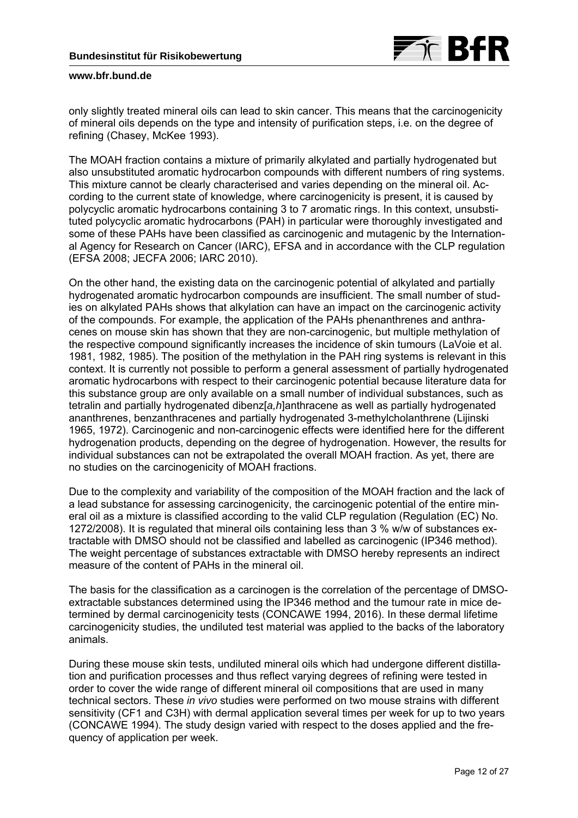

only slightly treated mineral oils can lead to skin cancer. This means that the carcinogenicity of mineral oils depends on the type and intensity of purification steps, i.e. on the degree of refining (Chasey, McKee 1993).

The MOAH fraction contains a mixture of primarily alkylated and partially hydrogenated but also unsubstituted aromatic hydrocarbon compounds with different numbers of ring systems. This mixture cannot be clearly characterised and varies depending on the mineral oil. According to the current state of knowledge, where carcinogenicity is present, it is caused by polycyclic aromatic hydrocarbons containing 3 to 7 aromatic rings. In this context, unsubstituted polycyclic aromatic hydrocarbons (PAH) in particular were thoroughly investigated and some of these PAHs have been classified as carcinogenic and mutagenic by the International Agency for Research on Cancer (IARC), EFSA and in accordance with the CLP regulation (EFSA 2008; JECFA 2006; IARC 2010).

On the other hand, the existing data on the carcinogenic potential of alkylated and partially hydrogenated aromatic hydrocarbon compounds are insufficient. The small number of studies on alkylated PAHs shows that alkylation can have an impact on the carcinogenic activity of the compounds. For example, the application of the PAHs phenanthrenes and anthracenes on mouse skin has shown that they are non-carcinogenic, but multiple methylation of the respective compound significantly increases the incidence of skin tumours (LaVoie et al. 1981, 1982, 1985). The position of the methylation in the PAH ring systems is relevant in this context. It is currently not possible to perform a general assessment of partially hydrogenated aromatic hydrocarbons with respect to their carcinogenic potential because literature data for this substance group are only available on a small number of individual substances, such as tetralin and partially hydrogenated dibenz[*a,h*]anthracene as well as partially hydrogenated ananthrenes, benzanthracenes and partially hydrogenated 3-methylcholanthrene (Lijinski 1965, 1972). Carcinogenic and non-carcinogenic effects were identified here for the different hydrogenation products, depending on the degree of hydrogenation. However, the results for individual substances can not be extrapolated the overall MOAH fraction. As yet, there are no studies on the carcinogenicity of MOAH fractions.

Due to the complexity and variability of the composition of the MOAH fraction and the lack of a lead substance for assessing carcinogenicity, the carcinogenic potential of the entire mineral oil as a mixture is classified according to the valid CLP regulation (Regulation (EC) No. 1272/2008). It is regulated that mineral oils containing less than 3 % w/w of substances extractable with DMSO should not be classified and labelled as carcinogenic (IP346 method). The weight percentage of substances extractable with DMSO hereby represents an indirect measure of the content of PAHs in the mineral oil.

The basis for the classification as a carcinogen is the correlation of the percentage of DMSOextractable substances determined using the IP346 method and the tumour rate in mice determined by dermal carcinogenicity tests (CONCAWE 1994, 2016). In these dermal lifetime carcinogenicity studies, the undiluted test material was applied to the backs of the laboratory animals.

During these mouse skin tests, undiluted mineral oils which had undergone different distillation and purification processes and thus reflect varying degrees of refining were tested in order to cover the wide range of different mineral oil compositions that are used in many technical sectors. These *in vivo* studies were performed on two mouse strains with different sensitivity (CF1 and C3H) with dermal application several times per week for up to two years (CONCAWE 1994). The study design varied with respect to the doses applied and the frequency of application per week.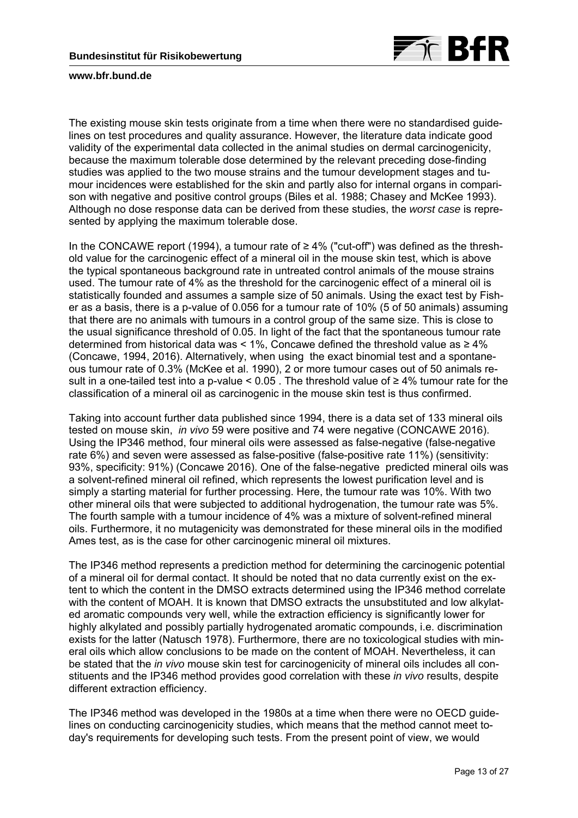

The existing mouse skin tests originate from a time when there were no standardised guidelines on test procedures and quality assurance. However, the literature data indicate good validity of the experimental data collected in the animal studies on dermal carcinogenicity, because the maximum tolerable dose determined by the relevant preceding dose-finding studies was applied to the two mouse strains and the tumour development stages and tumour incidences were established for the skin and partly also for internal organs in comparison with negative and positive control groups (Biles et al. 1988; Chasey and McKee 1993). Although no dose response data can be derived from these studies, the *worst case* is represented by applying the maximum tolerable dose.

In the CONCAWE report (1994), a tumour rate of  $≥$  4% ("cut-off") was defined as the threshold value for the carcinogenic effect of a mineral oil in the mouse skin test, which is above the typical spontaneous background rate in untreated control animals of the mouse strains used. The tumour rate of 4% as the threshold for the carcinogenic effect of a mineral oil is statistically founded and assumes a sample size of 50 animals. Using the exact test by Fisher as a basis, there is a p-value of 0.056 for a tumour rate of 10% (5 of 50 animals) assuming that there are no animals with tumours in a control group of the same size. This is close to the usual significance threshold of 0.05. In light of the fact that the spontaneous tumour rate determined from historical data was < 1%, Concawe defined the threshold value as  $\geq 4\%$ (Concawe, 1994, 2016). Alternatively, when using the exact binomial test and a spontaneous tumour rate of 0.3% (McKee et al. 1990), 2 or more tumour cases out of 50 animals result in a one-tailed test into a p-value <  $0.05$ . The threshold value of ≥4% tumour rate for the classification of a mineral oil as carcinogenic in the mouse skin test is thus confirmed.

Taking into account further data published since 1994, there is a data set of 133 mineral oils tested on mouse skin, *in vivo* 59 were positive and 74 were negative (CONCAWE 2016). Using the IP346 method, four mineral oils were assessed as false-negative (false-negative rate 6%) and seven were assessed as false-positive (false-positive rate 11%) (sensitivity: 93%, specificity: 91%) (Concawe 2016). One of the false-negative predicted mineral oils was a solvent-refined mineral oil refined, which represents the lowest purification level and is simply a starting material for further processing. Here, the tumour rate was 10%. With two other mineral oils that were subjected to additional hydrogenation, the tumour rate was 5%. The fourth sample with a tumour incidence of 4% was a mixture of solvent-refined mineral oils. Furthermore, it no mutagenicity was demonstrated for these mineral oils in the modified Ames test, as is the case for other carcinogenic mineral oil mixtures.

The IP346 method represents a prediction method for determining the carcinogenic potential of a mineral oil for dermal contact. It should be noted that no data currently exist on the extent to which the content in the DMSO extracts determined using the IP346 method correlate with the content of MOAH. It is known that DMSO extracts the unsubstituted and low alkylated aromatic compounds very well, while the extraction efficiency is significantly lower for highly alkylated and possibly partially hydrogenated aromatic compounds, i.e. discrimination exists for the latter (Natusch 1978). Furthermore, there are no toxicological studies with mineral oils which allow conclusions to be made on the content of MOAH. Nevertheless, it can be stated that the *in vivo* mouse skin test for carcinogenicity of mineral oils includes all constituents and the IP346 method provides good correlation with these *in vivo* results, despite different extraction efficiency.

The IP346 method was developed in the 1980s at a time when there were no OECD guidelines on conducting carcinogenicity studies, which means that the method cannot meet today's requirements for developing such tests. From the present point of view, we would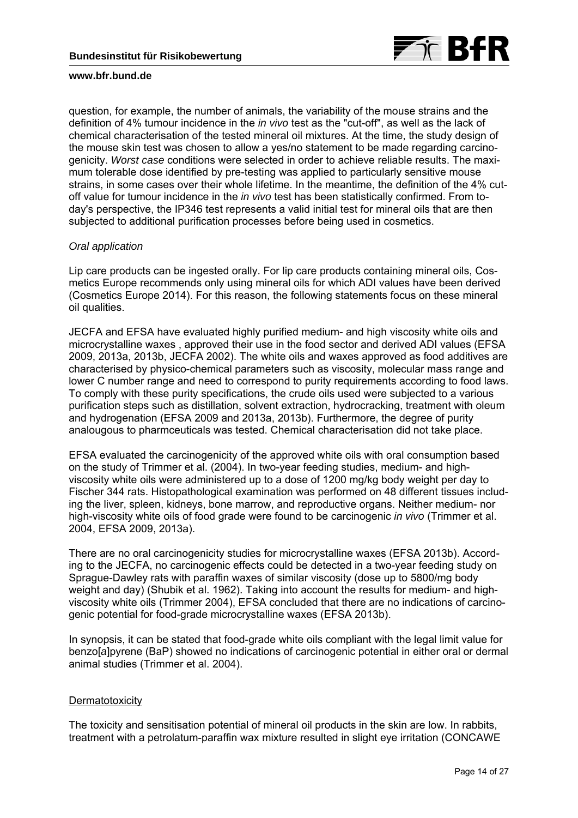

question, for example, the number of animals, the variability of the mouse strains and the definition of 4% tumour incidence in the *in vivo* test as the "cut-off", as well as the lack of chemical characterisation of the tested mineral oil mixtures. At the time, the study design of the mouse skin test was chosen to allow a yes/no statement to be made regarding carcinogenicity. *Worst case* conditions were selected in order to achieve reliable results. The maximum tolerable dose identified by pre-testing was applied to particularly sensitive mouse strains, in some cases over their whole lifetime. In the meantime, the definition of the 4% cutoff value for tumour incidence in the *in vivo* test has been statistically confirmed. From today's perspective, the IP346 test represents a valid initial test for mineral oils that are then subjected to additional purification processes before being used in cosmetics.

### *Oral application*

Lip care products can be ingested orally. For lip care products containing mineral oils, Cosmetics Europe recommends only using mineral oils for which ADI values have been derived (Cosmetics Europe 2014). For this reason, the following statements focus on these mineral oil qualities.

JECFA and EFSA have evaluated highly purified medium- and high viscosity white oils and microcrystalline waxes , approved their use in the food sector and derived ADI values (EFSA 2009, 2013a, 2013b, JECFA 2002). The white oils and waxes approved as food additives are characterised by physico-chemical parameters such as viscosity, molecular mass range and lower C number range and need to correspond to purity requirements according to food laws. To comply with these purity specifications, the crude oils used were subjected to a various purification steps such as distillation, solvent extraction, hydrocracking, treatment with oleum and hydrogenation (EFSA 2009 and 2013a, 2013b). Furthermore, the degree of purity analougous to pharmceuticals was tested. Chemical characterisation did not take place.

EFSA evaluated the carcinogenicity of the approved white oils with oral consumption based on the study of Trimmer et al. (2004). In two-year feeding studies, medium- and highviscosity white oils were administered up to a dose of 1200 mg/kg body weight per day to Fischer 344 rats. Histopathological examination was performed on 48 different tissues including the liver, spleen, kidneys, bone marrow, and reproductive organs. Neither medium- nor high-viscosity white oils of food grade were found to be carcinogenic *in vivo* (Trimmer et al. 2004, EFSA 2009, 2013a).

There are no oral carcinogenicity studies for microcrystalline waxes (EFSA 2013b). According to the JECFA, no carcinogenic effects could be detected in a two-year feeding study on Sprague-Dawley rats with paraffin waxes of similar viscosity (dose up to 5800/mg body weight and day) (Shubik et al. 1962). Taking into account the results for medium- and highviscosity white oils (Trimmer 2004), EFSA concluded that there are no indications of carcinogenic potential for food-grade microcrystalline waxes (EFSA 2013b).

In synopsis, it can be stated that food-grade white oils compliant with the legal limit value for benzo[*a*]pyrene (BaP) showed no indications of carcinogenic potential in either oral or dermal animal studies (Trimmer et al. 2004).

## **Dermatotoxicity**

The toxicity and sensitisation potential of mineral oil products in the skin are low. In rabbits, treatment with a petrolatum-paraffin wax mixture resulted in slight eye irritation (CONCAWE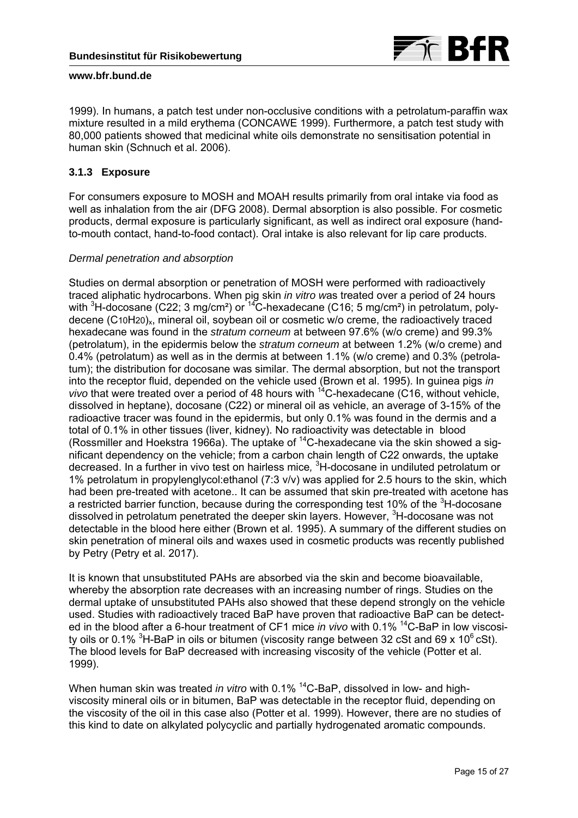

1999). In humans, a patch test under non-occlusive conditions with a petrolatum-paraffin wax mixture resulted in a mild erythema (CONCAWE 1999). Furthermore, a patch test study with 80,000 patients showed that medicinal white oils demonstrate no sensitisation potential in human skin (Schnuch et al. 2006).

# **3.1.3 Exposure**

For consumers exposure to MOSH and MOAH results primarily from oral intake via food as well as inhalation from the air (DFG 2008). Dermal absorption is also possible. For cosmetic products, dermal exposure is particularly significant, as well as indirect oral exposure (handto-mouth contact, hand-to-food contact). Oral intake is also relevant for lip care products.

# *Dermal penetration and absorption*

Studies on dermal absorption or penetration of MOSH were performed with radioactively traced aliphatic hydrocarbons. When pig skin *in vitro w*as treated over a period of 24 hours with <sup>3</sup>H-docosane (C22; 3 mg/cm<sup>2</sup>) or <sup>14</sup>C-hexadecane (C16; 5 mg/cm<sup>2</sup>) in petrolatum, polydecene (C10H20)<sub>x</sub>, mineral oil, soybean oil or cosmetic w/o creme, the radioactively traced hexadecane was found in the *stratum corneum* at between 97.6% (w/o creme) and 99.3% (petrolatum), in the epidermis below the *stratum corneum* at between 1.2% (w/o creme) and 0.4% (petrolatum) as well as in the dermis at between 1.1% (w/o creme) and 0.3% (petrolatum); the distribution for docosane was similar. The dermal absorption, but not the transport into the receptor fluid, depended on the vehicle used (Brown et al. 1995). In guinea pigs *in vivo* that were treated over a period of 48 hours with  $14^{\circ}$ C-hexadecane (C16, without vehicle, dissolved in heptane), docosane (C22) or mineral oil as vehicle, an average of 3-15% of the radioactive tracer was found in the epidermis, but only 0.1% was found in the dermis and a total of 0.1% in other tissues (liver, kidney). No radioactivity was detectable in blood (Rossmiller and Hoekstra 1966a). The uptake of  $^{14}$ C-hexadecane via the skin showed a significant dependency on the vehicle; from a carbon chain length of C22 onwards, the uptake decreased. In a further in vivo test on hairless mice*,* <sup>3</sup> H-docosane in undiluted petrolatum or 1% petrolatum in propylenglycol:ethanol (7:3 v/v) was applied for 2.5 hours to the skin, which had been pre-treated with acetone.. It can be assumed that skin pre-treated with acetone has a restricted barrier function, because during the corresponding test 10% of the <sup>3</sup>H-docosane dissolved in petrolatum penetrated the deeper skin layers. However, <sup>3</sup>H-docosane was not detectable in the blood here either (Brown et al. 1995). A summary of the different studies on skin penetration of mineral oils and waxes used in cosmetic products was recently published by Petry (Petry et al. 2017).

It is known that unsubstituted PAHs are absorbed via the skin and become bioavailable, whereby the absorption rate decreases with an increasing number of rings. Studies on the dermal uptake of unsubstituted PAHs also showed that these depend strongly on the vehicle used. Studies with radioactively traced BaP have proven that radioactive BaP can be detected in the blood after a 6-hour treatment of CF1 mice *in vivo* with 0.1% 14C-BaP in low viscosity oils or 0.1% <sup>3</sup>H-BaP in oils or bitumen (viscosity range between 32 cSt and 69 x 10<sup>6</sup> cSt). The blood levels for BaP decreased with increasing viscosity of the vehicle (Potter et al. 1999).

When human skin was treated *in vitro* with 0.1% <sup>14</sup>C-BaP, dissolved in low- and highviscosity mineral oils or in bitumen, BaP was detectable in the receptor fluid, depending on the viscosity of the oil in this case also (Potter et al. 1999). However, there are no studies of this kind to date on alkylated polycyclic and partially hydrogenated aromatic compounds.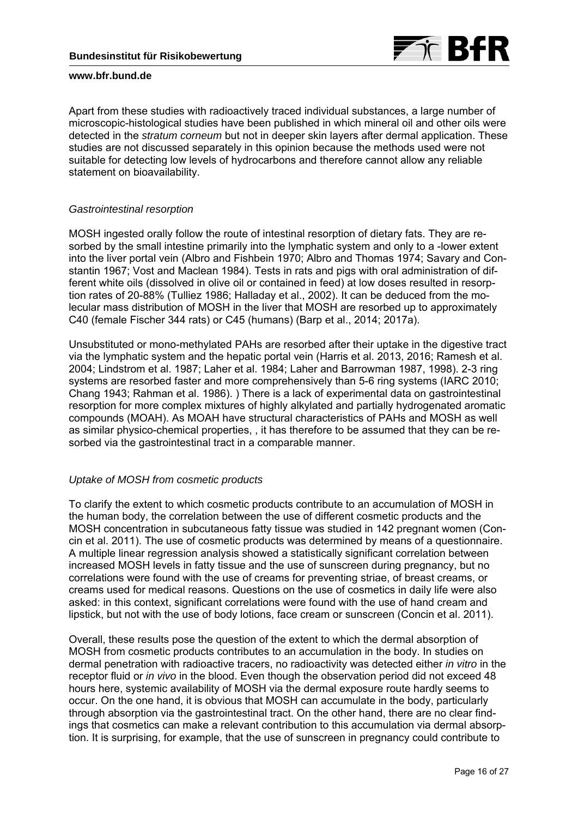

Apart from these studies with radioactively traced individual substances, a large number of microscopic-histological studies have been published in which mineral oil and other oils were detected in the *stratum corneum* but not in deeper skin layers after dermal application. These studies are not discussed separately in this opinion because the methods used were not suitable for detecting low levels of hydrocarbons and therefore cannot allow any reliable statement on bioavailability.

### *Gastrointestinal resorption*

MOSH ingested orally follow the route of intestinal resorption of dietary fats. They are resorbed by the small intestine primarily into the lymphatic system and only to a -lower extent into the liver portal vein (Albro and Fishbein 1970; Albro and Thomas 1974; Savary and Constantin 1967; Vost and Maclean 1984). Tests in rats and pigs with oral administration of different white oils (dissolved in olive oil or contained in feed) at low doses resulted in resorption rates of 20-88% (Tulliez 1986; Halladay et al., 2002). It can be deduced from the molecular mass distribution of MOSH in the liver that MOSH are resorbed up to approximately C40 (female Fischer 344 rats) or C45 (humans) (Barp et al., 2014; 2017a).

Unsubstituted or mono-methylated PAHs are resorbed after their uptake in the digestive tract via the lymphatic system and the hepatic portal vein (Harris et al. 2013, 2016; Ramesh et al. 2004; Lindstrom et al. 1987; Laher et al. 1984; Laher and Barrowman 1987, 1998). 2-3 ring systems are resorbed faster and more comprehensively than 5-6 ring systems (IARC 2010; Chang 1943; Rahman et al. 1986). ) There is a lack of experimental data on gastrointestinal resorption for more complex mixtures of highly alkylated and partially hydrogenated aromatic compounds (MOAH). As MOAH have structural characteristics of PAHs and MOSH as well as similar physico-chemical properties, , it has therefore to be assumed that they can be resorbed via the gastrointestinal tract in a comparable manner.

## *Uptake of MOSH from cosmetic products*

To clarify the extent to which cosmetic products contribute to an accumulation of MOSH in the human body, the correlation between the use of different cosmetic products and the MOSH concentration in subcutaneous fatty tissue was studied in 142 pregnant women (Concin et al. 2011). The use of cosmetic products was determined by means of a questionnaire. A multiple linear regression analysis showed a statistically significant correlation between increased MOSH levels in fatty tissue and the use of sunscreen during pregnancy, but no correlations were found with the use of creams for preventing striae, of breast creams, or creams used for medical reasons. Questions on the use of cosmetics in daily life were also asked: in this context, significant correlations were found with the use of hand cream and lipstick, but not with the use of body lotions, face cream or sunscreen (Concin et al. 2011).

Overall, these results pose the question of the extent to which the dermal absorption of MOSH from cosmetic products contributes to an accumulation in the body. In studies on dermal penetration with radioactive tracers, no radioactivity was detected either *in vitro* in the receptor fluid or *in vivo* in the blood. Even though the observation period did not exceed 48 hours here, systemic availability of MOSH via the dermal exposure route hardly seems to occur. On the one hand, it is obvious that MOSH can accumulate in the body, particularly through absorption via the gastrointestinal tract. On the other hand, there are no clear findings that cosmetics can make a relevant contribution to this accumulation via dermal absorption. It is surprising, for example, that the use of sunscreen in pregnancy could contribute to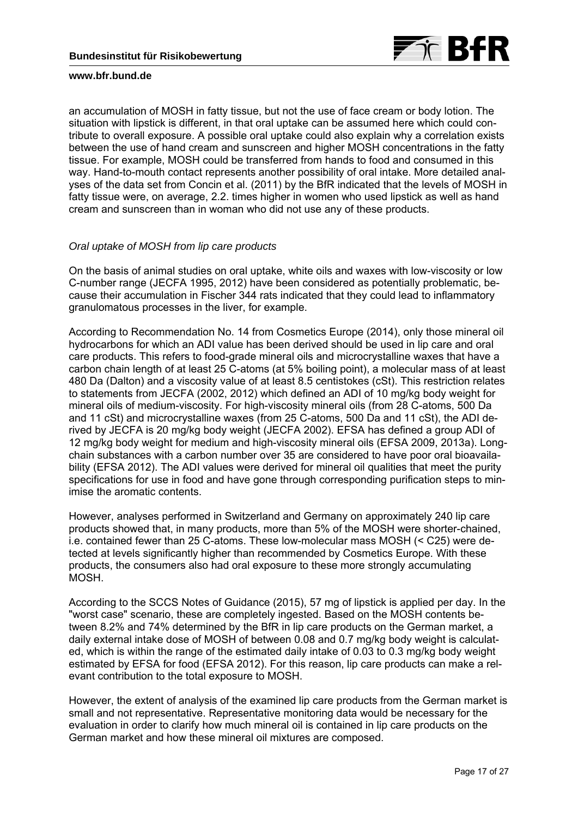

an accumulation of MOSH in fatty tissue, but not the use of face cream or body lotion. The situation with lipstick is different, in that oral uptake can be assumed here which could contribute to overall exposure. A possible oral uptake could also explain why a correlation exists between the use of hand cream and sunscreen and higher MOSH concentrations in the fatty tissue. For example, MOSH could be transferred from hands to food and consumed in this way. Hand-to-mouth contact represents another possibility of oral intake. More detailed analyses of the data set from Concin et al. (2011) by the BfR indicated that the levels of MOSH in fatty tissue were, on average, 2.2. times higher in women who used lipstick as well as hand cream and sunscreen than in woman who did not use any of these products.

## *Oral uptake of MOSH from lip care products*

On the basis of animal studies on oral uptake, white oils and waxes with low-viscosity or low C-number range (JECFA 1995, 2012) have been considered as potentially problematic, because their accumulation in Fischer 344 rats indicated that they could lead to inflammatory granulomatous processes in the liver, for example.

According to Recommendation No. 14 from Cosmetics Europe (2014), only those mineral oil hydrocarbons for which an ADI value has been derived should be used in lip care and oral care products. This refers to food-grade mineral oils and microcrystalline waxes that have a carbon chain length of at least 25 C-atoms (at 5% boiling point), a molecular mass of at least 480 Da (Dalton) and a viscosity value of at least 8.5 centistokes (cSt). This restriction relates to statements from JECFA (2002, 2012) which defined an ADI of 10 mg/kg body weight for mineral oils of medium-viscosity. For high-viscosity mineral oils (from 28 C-atoms, 500 Da and 11 cSt) and microcrystalline waxes (from 25 C-atoms, 500 Da and 11 cSt), the ADI derived by JECFA is 20 mg/kg body weight (JECFA 2002). EFSA has defined a group ADI of 12 mg/kg body weight for medium and high-viscosity mineral oils (EFSA 2009, 2013a). Longchain substances with a carbon number over 35 are considered to have poor oral bioavailability (EFSA 2012). The ADI values were derived for mineral oil qualities that meet the purity specifications for use in food and have gone through corresponding purification steps to minimise the aromatic contents.

However, analyses performed in Switzerland and Germany on approximately 240 lip care products showed that, in many products, more than 5% of the MOSH were shorter-chained, i.e. contained fewer than 25 C-atoms. These low-molecular mass MOSH (< C25) were detected at levels significantly higher than recommended by Cosmetics Europe. With these products, the consumers also had oral exposure to these more strongly accumulating MOSH.

According to the SCCS Notes of Guidance (2015), 57 mg of lipstick is applied per day. In the "worst case" scenario, these are completely ingested. Based on the MOSH contents between 8.2% and 74% determined by the BfR in lip care products on the German market, a daily external intake dose of MOSH of between 0.08 and 0.7 mg/kg body weight is calculated, which is within the range of the estimated daily intake of 0.03 to 0.3 mg/kg body weight estimated by EFSA for food (EFSA 2012). For this reason, lip care products can make a relevant contribution to the total exposure to MOSH.

However, the extent of analysis of the examined lip care products from the German market is small and not representative. Representative monitoring data would be necessary for the evaluation in order to clarify how much mineral oil is contained in lip care products on the German market and how these mineral oil mixtures are composed.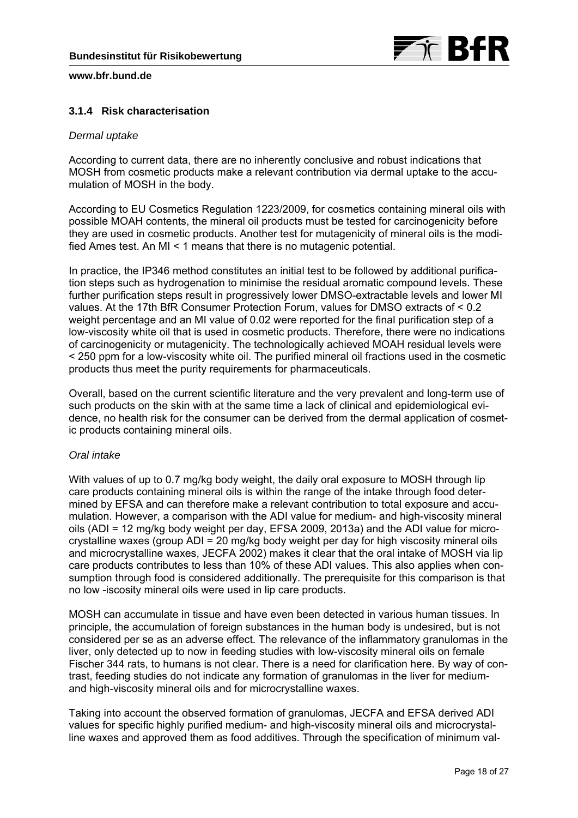

# **3.1.4 Risk characterisation**

## *Dermal uptake*

According to current data, there are no inherently conclusive and robust indications that MOSH from cosmetic products make a relevant contribution via dermal uptake to the accumulation of MOSH in the body.

According to EU Cosmetics Regulation 1223/2009, for cosmetics containing mineral oils with possible MOAH contents, the mineral oil products must be tested for carcinogenicity before they are used in cosmetic products. Another test for mutagenicity of mineral oils is the modified Ames test. An MI < 1 means that there is no mutagenic potential.

In practice, the IP346 method constitutes an initial test to be followed by additional purification steps such as hydrogenation to minimise the residual aromatic compound levels. These further purification steps result in progressively lower DMSO-extractable levels and lower MI values. At the 17th BfR Consumer Protection Forum, values for DMSO extracts of < 0.2 weight percentage and an MI value of 0.02 were reported for the final purification step of a low-viscosity white oil that is used in cosmetic products. Therefore, there were no indications of carcinogenicity or mutagenicity. The technologically achieved MOAH residual levels were < 250 ppm for a low-viscosity white oil. The purified mineral oil fractions used in the cosmetic products thus meet the purity requirements for pharmaceuticals.

Overall, based on the current scientific literature and the very prevalent and long-term use of such products on the skin with at the same time a lack of clinical and epidemiological evidence, no health risk for the consumer can be derived from the dermal application of cosmetic products containing mineral oils.

## *Oral intake*

With values of up to 0.7 mg/kg body weight, the daily oral exposure to MOSH through lip care products containing mineral oils is within the range of the intake through food determined by EFSA and can therefore make a relevant contribution to total exposure and accumulation. However, a comparison with the ADI value for medium- and high-viscosity mineral oils (ADI = 12 mg/kg body weight per day, EFSA 2009, 2013a) and the ADI value for microcrystalline waxes (group ADI = 20 mg/kg body weight per day for high viscosity mineral oils and microcrystalline waxes, JECFA 2002) makes it clear that the oral intake of MOSH via lip care products contributes to less than 10% of these ADI values. This also applies when consumption through food is considered additionally. The prerequisite for this comparison is that no low -iscosity mineral oils were used in lip care products.

MOSH can accumulate in tissue and have even been detected in various human tissues. In principle, the accumulation of foreign substances in the human body is undesired, but is not considered per se as an adverse effect. The relevance of the inflammatory granulomas in the liver, only detected up to now in feeding studies with low-viscosity mineral oils on female Fischer 344 rats, to humans is not clear. There is a need for clarification here. By way of contrast, feeding studies do not indicate any formation of granulomas in the liver for mediumand high-viscosity mineral oils and for microcrystalline waxes.

Taking into account the observed formation of granulomas, JECFA and EFSA derived ADI values for specific highly purified medium- and high-viscosity mineral oils and microcrystalline waxes and approved them as food additives. Through the specification of minimum val-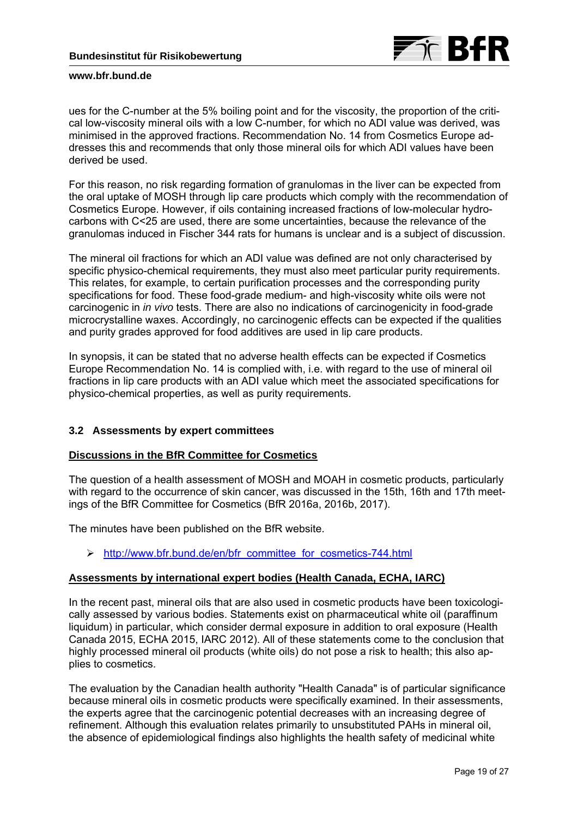

ues for the C-number at the 5% boiling point and for the viscosity, the proportion of the critical low-viscosity mineral oils with a low C-number, for which no ADI value was derived, was minimised in the approved fractions. Recommendation No. 14 from Cosmetics Europe addresses this and recommends that only those mineral oils for which ADI values have been derived be used.

For this reason, no risk regarding formation of granulomas in the liver can be expected from the oral uptake of MOSH through lip care products which comply with the recommendation of Cosmetics Europe. However, if oils containing increased fractions of low-molecular hydrocarbons with C<25 are used, there are some uncertainties, because the relevance of the granulomas induced in Fischer 344 rats for humans is unclear and is a subject of discussion.

The mineral oil fractions for which an ADI value was defined are not only characterised by specific physico-chemical requirements, they must also meet particular purity requirements. This relates, for example, to certain purification processes and the corresponding purity specifications for food. These food-grade medium- and high-viscosity white oils were not carcinogenic in *in vivo* tests. There are also no indications of carcinogenicity in food-grade microcrystalline waxes. Accordingly, no carcinogenic effects can be expected if the qualities and purity grades approved for food additives are used in lip care products.

In synopsis, it can be stated that no adverse health effects can be expected if Cosmetics Europe Recommendation No. 14 is complied with, i.e. with regard to the use of mineral oil fractions in lip care products with an ADI value which meet the associated specifications for physico-chemical properties, as well as purity requirements.

## **3.2 Assessments by expert committees**

## **Discussions in the BfR Committee for Cosmetics**

The question of a health assessment of MOSH and MOAH in cosmetic products, particularly with regard to the occurrence of skin cancer, was discussed in the 15th, 16th and 17th meetings of the BfR Committee for Cosmetics (BfR 2016a, 2016b, 2017).

The minutes have been published on the BfR website.

http://www.bfr.bund.de/en/bfr\_committee\_for\_cosmetics-744.html

## **Assessments by international expert bodies (Health Canada, ECHA, IARC)**

In the recent past, mineral oils that are also used in cosmetic products have been toxicologically assessed by various bodies. Statements exist on pharmaceutical white oil (paraffinum liquidum) in particular, which consider dermal exposure in addition to oral exposure (Health Canada 2015, ECHA 2015, IARC 2012). All of these statements come to the conclusion that highly processed mineral oil products (white oils) do not pose a risk to health; this also applies to cosmetics.

The evaluation by the Canadian health authority "Health Canada" is of particular significance because mineral oils in cosmetic products were specifically examined. In their assessments, the experts agree that the carcinogenic potential decreases with an increasing degree of refinement. Although this evaluation relates primarily to unsubstituted PAHs in mineral oil, the absence of epidemiological findings also highlights the health safety of medicinal white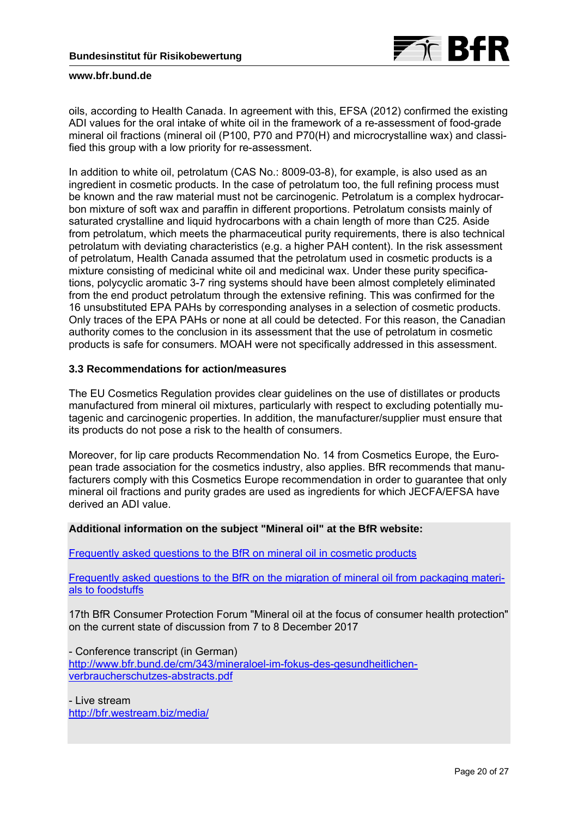

oils, according to Health Canada. In agreement with this, EFSA (2012) confirmed the existing ADI values for the oral intake of white oil in the framework of a re-assessment of food-grade mineral oil fractions (mineral oil (P100, P70 and P70(H) and microcrystalline wax) and classified this group with a low priority for re-assessment.

In addition to white oil, petrolatum (CAS No.: 8009-03-8), for example, is also used as an ingredient in cosmetic products. In the case of petrolatum too, the full refining process must be known and the raw material must not be carcinogenic. Petrolatum is a complex hydrocarbon mixture of soft wax and paraffin in different proportions. Petrolatum consists mainly of saturated crystalline and liquid hydrocarbons with a chain length of more than C25. Aside from petrolatum, which meets the pharmaceutical purity requirements, there is also technical petrolatum with deviating characteristics (e.g. a higher PAH content). In the risk assessment of petrolatum, Health Canada assumed that the petrolatum used in cosmetic products is a mixture consisting of medicinal white oil and medicinal wax. Under these purity specifications, polycyclic aromatic 3-7 ring systems should have been almost completely eliminated from the end product petrolatum through the extensive refining. This was confirmed for the 16 unsubstituted EPA PAHs by corresponding analyses in a selection of cosmetic products. Only traces of the EPA PAHs or none at all could be detected. For this reason, the Canadian authority comes to the conclusion in its assessment that the use of petrolatum in cosmetic products is safe for consumers. MOAH were not specifically addressed in this assessment.

# **3.3 Recommendations for action/measures**

The EU Cosmetics Regulation provides clear guidelines on the use of distillates or products manufactured from mineral oil mixtures, particularly with respect to excluding potentially mutagenic and carcinogenic properties. In addition, the manufacturer/supplier must ensure that its products do not pose a risk to the health of consumers.

Moreover, for lip care products Recommendation No. 14 from Cosmetics Europe, the European trade association for the cosmetics industry, also applies. BfR recommends that manufacturers comply with this Cosmetics Europe recommendation in order to guarantee that only mineral oil fractions and purity grades are used as ingredients for which JECFA/EFSA have derived an ADI value.

### **Additional information on the subject "Mineral oil" at the BfR website:**

[Frequently asked questions to the BfR on mineral oil in cosmetic products](http://www.bfr.bund.de/en/questions_and_answers_on_mineral_oil_in_cosmetic_products-194384.html)

[Frequently asked questions to the BfR on the migration of mineral oil from packaging materi](http://www.bfr.bund.de/en/questions_and_answers_on_the_migration_of_mineral_oil_from_packaging_materials_to_foodstuffs-60836.html)als to foodstuffs

17th BfR Consumer Protection Forum "Mineral oil at the focus of consumer health protection" on the current state of discussion from 7 to 8 December 2017

- Conference transcript (in German) http://www.bfr.bund.de/cm/343/mineraloel-im-fokus-des-gesundheitlichenverbraucherschutzes-abstracts.pdf

- Live stream http://bfr.westream.biz/media/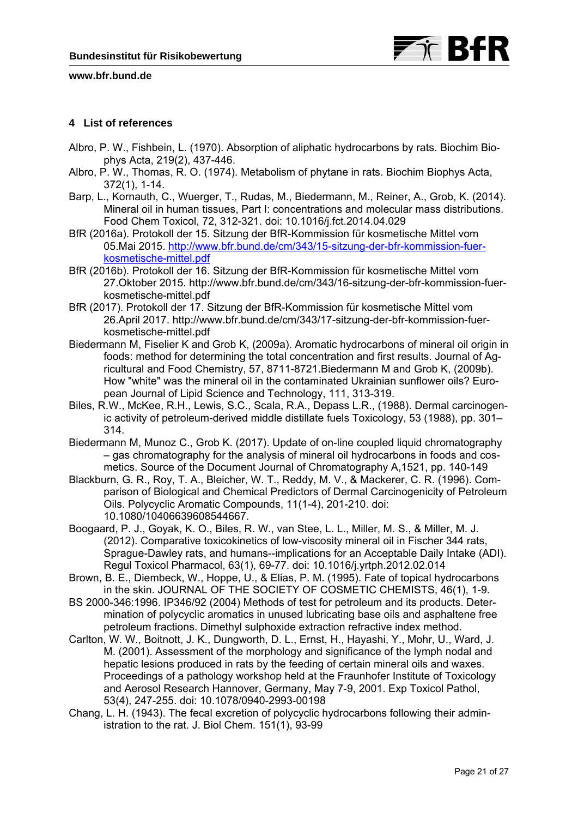

# **4 List of references**

- Albro, P. W., Fishbein, L. (1970). Absorption of aliphatic hydrocarbons by rats. Biochim Biophys Acta, 219(2), 437-446.
- Albro, P. W., Thomas, R. O. (1974). Metabolism of phytane in rats. Biochim Biophys Acta, 372(1), 1-14.
- Barp, L., Kornauth, C., Wuerger, T., Rudas, M., Biedermann, M., Reiner, A., Grob, K. (2014). Mineral oil in human tissues, Part I: concentrations and molecular mass distributions. Food Chem Toxicol, 72, 312-321. doi: 10.1016/j.fct.2014.04.029
- BfR (2016a). Protokoll der 15. Sitzung der BfR-Kommission für kosmetische Mittel vom 05.Mai 2015. http://www.bfr.bund.de/cm/343/15-sitzung-der-bfr-kommission-fuerkosmetische-mittel.pdf
- BfR (2016b). Protokoll der 16. Sitzung der BfR-Kommission für kosmetische Mittel vom 27.Oktober 2015. http://www.bfr.bund.de/cm/343/16-sitzung-der-bfr-kommission-fuerkosmetische-mittel.pdf
- BfR (2017). Protokoll der 17. Sitzung der BfR-Kommission für kosmetische Mittel vom 26.April 2017. http://www.bfr.bund.de/cm/343/17-sitzung-der-bfr-kommission-fuerkosmetische-mittel.pdf
- Biedermann M, Fiselier K and Grob K, (2009a). Aromatic hydrocarbons of mineral oil origin in foods: method for determining the total concentration and first results. Journal of Agricultural and Food Chemistry, 57, 8711-8721.Biedermann M and Grob K, (2009b). How "white" was the mineral oil in the contaminated Ukrainian sunflower oils? European Journal of Lipid Science and Technology, 111, 313-319.
- Biles, R.W., McKee, R.H., Lewis, S.C., Scala, R.A., Depass L.R., (1988). Dermal carcinogenic activity of petroleum-derived middle distillate fuels Toxicology, 53 (1988), pp. 301– 314.
- Biedermann M, Munoz C., Grob K. (2017). Update of on-line coupled liquid chromatography – gas chromatography for the analysis of mineral oil hydrocarbons in foods and cosmetics. Source of the Document Journal of Chromatography A,1521, pp. 140-149
- Blackburn, G. R., Roy, T. A., Bleicher, W. T., Reddy, M. V., & Mackerer, C. R. (1996). Comparison of Biological and Chemical Predictors of Dermal Carcinogenicity of Petroleum Oils. Polycyclic Aromatic Compounds, 11(1-4), 201-210. doi: 10.1080/10406639608544667.
- Boogaard, P. J., Goyak, K. O., Biles, R. W., van Stee, L. L., Miller, M. S., & Miller, M. J. (2012). Comparative toxicokinetics of low-viscosity mineral oil in Fischer 344 rats, Sprague-Dawley rats, and humans--implications for an Acceptable Daily Intake (ADI). Regul Toxicol Pharmacol, 63(1), 69-77. doi: 10.1016/j.yrtph.2012.02.014
- Brown, B. E., Diembeck, W., Hoppe, U., & Elias, P. M. (1995). Fate of topical hydrocarbons in the skin. JOURNAL OF THE SOCIETY OF COSMETIC CHEMISTS, 46(1), 1-9.
- BS 2000-346:1996. IP346/92 (2004) Methods of test for petroleum and its products. Determination of polycyclic aromatics in unused lubricating base oils and asphaltene free petroleum fractions. Dimethyl sulphoxide extraction refractive index method.
- Carlton, W. W., Boitnott, J. K., Dungworth, D. L., Ernst, H., Hayashi, Y., Mohr, U., Ward, J. M. (2001). Assessment of the morphology and significance of the lymph nodal and hepatic lesions produced in rats by the feeding of certain mineral oils and waxes. Proceedings of a pathology workshop held at the Fraunhofer Institute of Toxicology and Aerosol Research Hannover, Germany, May 7-9, 2001. Exp Toxicol Pathol, 53(4), 247-255. doi: 10.1078/0940-2993-00198
- Chang, L. H. (1943). The fecal excretion of polycyclic hydrocarbons following their administration to the rat. J. Biol Chem. 151(1), 93-99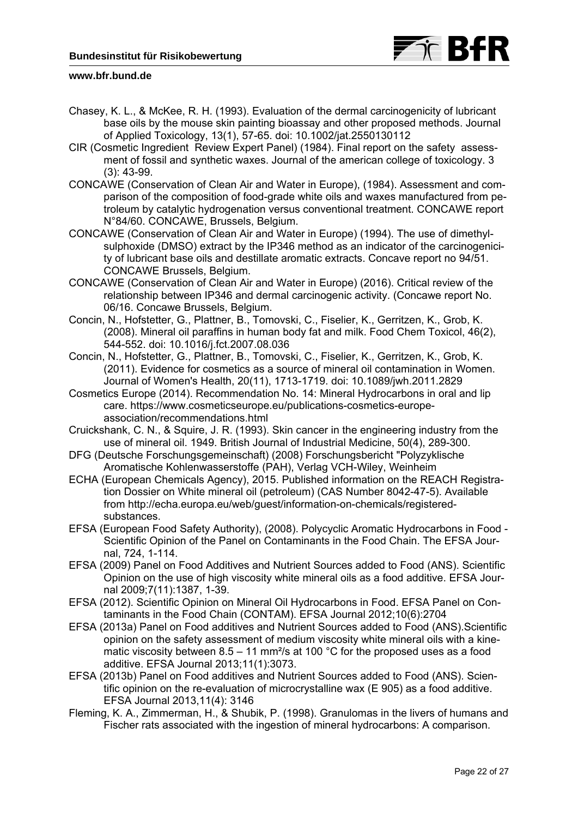

- Chasey, K. L., & McKee, R. H. (1993). Evaluation of the dermal carcinogenicity of lubricant base oils by the mouse skin painting bioassay and other proposed methods. Journal of Applied Toxicology, 13(1), 57-65. doi: 10.1002/jat.2550130112
- CIR (Cosmetic Ingredient Review Expert Panel) (1984). Final report on the safety assessment of fossil and synthetic waxes. Journal of the american college of toxicology. 3 (3): 43-99.
- CONCAWE (Conservation of Clean Air and Water in Europe), (1984). Assessment and comparison of the composition of food-grade white oils and waxes manufactured from petroleum by catalytic hydrogenation versus conventional treatment. CONCAWE report N°84/60. CONCAWE, Brussels, Belgium.
- CONCAWE (Conservation of Clean Air and Water in Europe) (1994). The use of dimethylsulphoxide (DMSO) extract by the IP346 method as an indicator of the carcinogenicity of lubricant base oils and destillate aromatic extracts. Concave report no 94/51. CONCAWE Brussels, Belgium.
- CONCAWE (Conservation of Clean Air and Water in Europe) (2016). Critical review of the relationship between IP346 and dermal carcinogenic activity. (Concawe report No. 06/16. Concawe Brussels, Belgium.
- Concin, N., Hofstetter, G., Plattner, B., Tomovski, C., Fiselier, K., Gerritzen, K., Grob, K. (2008). Mineral oil paraffins in human body fat and milk. Food Chem Toxicol, 46(2), 544-552. doi: 10.1016/j.fct.2007.08.036
- Concin, N., Hofstetter, G., Plattner, B., Tomovski, C., Fiselier, K., Gerritzen, K., Grob, K. (2011). Evidence for cosmetics as a source of mineral oil contamination in Women. Journal of Women's Health, 20(11), 1713-1719. doi: 10.1089/jwh.2011.2829
- Cosmetics Europe (2014). Recommendation No. 14: Mineral Hydrocarbons in oral and lip care. https://www.cosmeticseurope.eu/publications-cosmetics-europeassociation/recommendations.html
- Cruickshank, C. N., & Squire, J. R. (1993). Skin cancer in the engineering industry from the use of mineral oil. 1949. British Journal of Industrial Medicine, 50(4), 289-300.
- DFG (Deutsche Forschungsgemeinschaft) (2008) Forschungsbericht "Polyzyklische Aromatische Kohlenwasserstoffe (PAH), Verlag VCH-Wiley, Weinheim
- ECHA (European Chemicals Agency), 2015. Published information on the REACH Registration Dossier on White mineral oil (petroleum) (CAS Number 8042-47-5). Available from http://echa.europa.eu/web/guest/information-on-chemicals/registeredsubstances.
- EFSA (European Food Safety Authority), (2008). Polycyclic Aromatic Hydrocarbons in Food Scientific Opinion of the Panel on Contaminants in the Food Chain. The EFSA Journal, 724, 1-114.
- EFSA (2009) Panel on Food Additives and Nutrient Sources added to Food (ANS). Scientific Opinion on the use of high viscosity white mineral oils as a food additive. EFSA Journal 2009;7(11):1387, 1-39.
- EFSA (2012). Scientific Opinion on Mineral Oil Hydrocarbons in Food. EFSA Panel on Contaminants in the Food Chain (CONTAM). EFSA Journal 2012;10(6):2704
- EFSA (2013a) Panel on Food additives and Nutrient Sources added to Food (ANS).Scientific opinion on the safety assessment of medium viscosity white mineral oils with a kinematic viscosity between  $8.5 - 11$  mm<sup>2</sup>/s at 100 °C for the proposed uses as a food additive. EFSA Journal 2013;11(1):3073.
- EFSA (2013b) Panel on Food additives and Nutrient Sources added to Food (ANS). Scientific opinion on the re-evaluation of microcrystalline wax (E 905) as a food additive. EFSA Journal 2013,11(4): 3146
- Fleming, K. A., Zimmerman, H., & Shubik, P. (1998). Granulomas in the livers of humans and Fischer rats associated with the ingestion of mineral hydrocarbons: A comparison.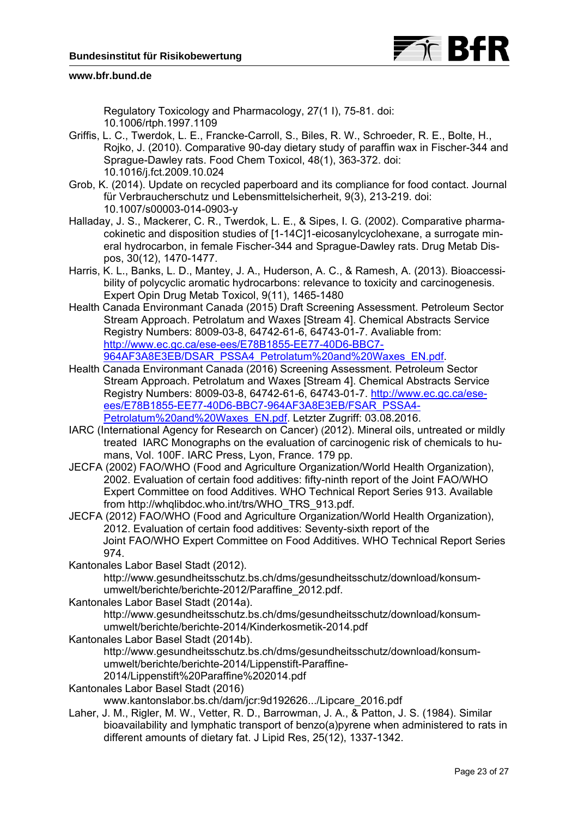

Regulatory Toxicology and Pharmacology, 27(1 I), 75-81. doi: 10.1006/rtph.1997.1109

- Griffis, L. C., Twerdok, L. E., Francke-Carroll, S., Biles, R. W., Schroeder, R. E., Bolte, H., Rojko, J. (2010). Comparative 90-day dietary study of paraffin wax in Fischer-344 and Sprague-Dawley rats. Food Chem Toxicol, 48(1), 363-372. doi: 10.1016/j.fct.2009.10.024
- Grob, K. (2014). Update on recycled paperboard and its compliance for food contact. Journal für Verbraucherschutz und Lebensmittelsicherheit, 9(3), 213-219. doi: 10.1007/s00003-014-0903-y
- Halladay, J. S., Mackerer, C. R., Twerdok, L. E., & Sipes, I. G. (2002). Comparative pharmacokinetic and disposition studies of [1-14C]1-eicosanylcyclohexane, a surrogate mineral hydrocarbon, in female Fischer-344 and Sprague-Dawley rats. Drug Metab Dispos, 30(12), 1470-1477.
- Harris, K. L., Banks, L. D., Mantey, J. A., Huderson, A. C., & Ramesh, A. (2013). Bioaccessibility of polycyclic aromatic hydrocarbons: relevance to toxicity and carcinogenesis. Expert Opin Drug Metab Toxicol, 9(11), 1465-1480
- Health Canada Environmant Canada (2015) Draft Screening Assessment. Petroleum Sector Stream Approach. Petrolatum and Waxes [Stream 4]. Chemical Abstracts Service Registry Numbers: 8009-03-8, 64742-61-6, 64743-01-7. Avaliable from: http://www.ec.gc.ca/ese-ees/E78B1855-EE77-40D6-BBC7- 964AF3A8E3EB/DSAR\_PSSA4\_Petrolatum%20and%20Waxes\_EN.pdf.
- Health Canada Environmant Canada (2016) Screening Assessment. Petroleum Sector Stream Approach. Petrolatum and Waxes [Stream 4]. Chemical Abstracts Service Registry Numbers: 8009-03-8, 64742-61-6, 64743-01-7. http://www.ec.gc.ca/eseees/E78B1855-EE77-40D6-BBC7-964AF3A8E3EB/FSAR\_PSSA4- Petrolatum%20and%20Waxes\_EN.pdf. Letzter Zugriff: 03.08.2016.
- IARC (International Agency for Research on Cancer) (2012). Mineral oils, untreated or mildly treated IARC Monographs on the evaluation of carcinogenic risk of chemicals to humans, Vol. 100F. IARC Press, Lyon, France. 179 pp.
- JECFA (2002) FAO/WHO (Food and Agriculture Organization/World Health Organization), 2002. Evaluation of certain food additives: fifty-ninth report of the Joint FAO/WHO Expert Committee on food Additives. WHO Technical Report Series 913. Available from http://whqlibdoc.who.int/trs/WHO\_TRS\_913.pdf.
- JECFA (2012) FAO/WHO (Food and Agriculture Organization/World Health Organization), 2012. Evaluation of certain food additives: Seventy-sixth report of the Joint FAO/WHO Expert Committee on Food Additives. WHO Technical Report Series 974.
- Kantonales Labor Basel Stadt (2012).
	- http://www.gesundheitsschutz.bs.ch/dms/gesundheitsschutz/download/konsumumwelt/berichte/berichte-2012/Paraffine\_2012.pdf.
- Kantonales Labor Basel Stadt (2014a).
	- http://www.gesundheitsschutz.bs.ch/dms/gesundheitsschutz/download/konsumumwelt/berichte/berichte-2014/Kinderkosmetik-2014.pdf
- Kantonales Labor Basel Stadt (2014b).
	- http://www.gesundheitsschutz.bs.ch/dms/gesundheitsschutz/download/konsumumwelt/berichte/berichte-2014/Lippenstift-Paraffine-2014/Lippenstift%20Paraffine%202014.pdf
- Kantonales Labor Basel Stadt (2016)

www.kantonslabor.bs.ch/dam/jcr:9d192626.../Lipcare\_2016.pdf

Laher, J. M., Rigler, M. W., Vetter, R. D., Barrowman, J. A., & Patton, J. S. (1984). Similar bioavailability and lymphatic transport of benzo(a)pyrene when administered to rats in different amounts of dietary fat. J Lipid Res, 25(12), 1337-1342.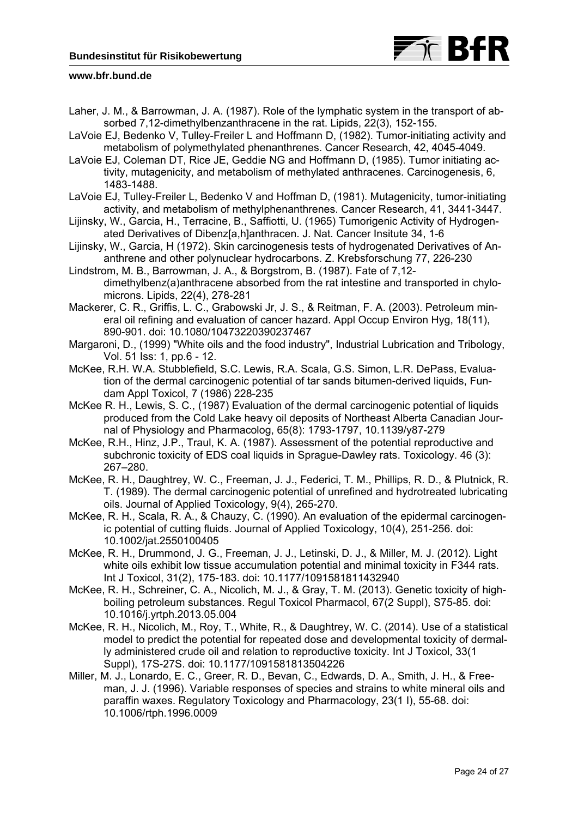

- Laher, J. M., & Barrowman, J. A. (1987). Role of the lymphatic system in the transport of absorbed 7,12-dimethylbenzanthracene in the rat. Lipids, 22(3), 152-155.
- LaVoie EJ, Bedenko V, Tulley-Freiler L and Hoffmann D, (1982). Tumor-initiating activity and metabolism of polymethylated phenanthrenes. Cancer Research, 42, 4045-4049.
- LaVoie EJ, Coleman DT, Rice JE, Geddie NG and Hoffmann D, (1985). Tumor initiating activity, mutagenicity, and metabolism of methylated anthracenes. Carcinogenesis, 6, 1483-1488.
- LaVoie EJ, Tulley-Freiler L, Bedenko V and Hoffman D, (1981). Mutagenicity, tumor-initiating activity, and metabolism of methylphenanthrenes. Cancer Research, 41, 3441-3447.
- Lijinsky, W., Garcia, H., Terracine, B., Saffiotti, U. (1965) Tumorigenic Activity of Hydrogenated Derivatives of Dibenz[a,h]anthracen. J. Nat. Cancer Insitute 34, 1-6
- Lijinsky, W., Garcia, H (1972). Skin carcinogenesis tests of hydrogenated Derivatives of Ananthrene and other polynuclear hydrocarbons. Z. Krebsforschung 77, 226-230
- Lindstrom, M. B., Barrowman, J. A., & Borgstrom, B. (1987). Fate of 7,12 dimethylbenz(a)anthracene absorbed from the rat intestine and transported in chylomicrons. Lipids, 22(4), 278-281
- Mackerer, C. R., Griffis, L. C., Grabowski Jr, J. S., & Reitman, F. A. (2003). Petroleum mineral oil refining and evaluation of cancer hazard. Appl Occup Environ Hyg, 18(11), 890-901. doi: 10.1080/10473220390237467
- Margaroni, D., (1999) "White oils and the food industry", Industrial Lubrication and Tribology, Vol. 51 Iss: 1, pp.6 - 12.
- McKee, R.H. W.A. Stubblefield, S.C. Lewis, R.A. Scala, G.S. Simon, L.R. DePass, Evaluation of the dermal carcinogenic potential of tar sands bitumen-derived liquids, Fundam Appl Toxicol, 7 (1986) 228-235
- McKee R. H., Lewis, S. C., (1987) Evaluation of the dermal carcinogenic potential of liquids produced from the Cold Lake heavy oil deposits of Northeast Alberta Canadian Journal of Physiology and Pharmacolog, 65(8): 1793-1797, 10.1139/y87-279
- McKee, R.H., Hinz, J.P., Traul, K. A. (1987). Assessment of the potential reproductive and subchronic toxicity of EDS coal liquids in Sprague-Dawley rats. Toxicology. 46 (3): 267–280.
- McKee, R. H., Daughtrey, W. C., Freeman, J. J., Federici, T. M., Phillips, R. D., & Plutnick, R. T. (1989). The dermal carcinogenic potential of unrefined and hydrotreated lubricating oils. Journal of Applied Toxicology, 9(4), 265-270.
- McKee, R. H., Scala, R. A., & Chauzy, C. (1990). An evaluation of the epidermal carcinogenic potential of cutting fluids. Journal of Applied Toxicology, 10(4), 251-256. doi: 10.1002/jat.2550100405
- McKee, R. H., Drummond, J. G., Freeman, J. J., Letinski, D. J., & Miller, M. J. (2012). Light white oils exhibit low tissue accumulation potential and minimal toxicity in F344 rats. Int J Toxicol, 31(2), 175-183. doi: 10.1177/1091581811432940
- McKee, R. H., Schreiner, C. A., Nicolich, M. J., & Gray, T. M. (2013). Genetic toxicity of highboiling petroleum substances. Regul Toxicol Pharmacol, 67(2 Suppl), S75-85. doi: 10.1016/j.yrtph.2013.05.004
- McKee, R. H., Nicolich, M., Roy, T., White, R., & Daughtrey, W. C. (2014). Use of a statistical model to predict the potential for repeated dose and developmental toxicity of dermally administered crude oil and relation to reproductive toxicity. Int J Toxicol, 33(1 Suppl), 17S-27S. doi: 10.1177/1091581813504226
- Miller, M. J., Lonardo, E. C., Greer, R. D., Bevan, C., Edwards, D. A., Smith, J. H., & Freeman, J. J. (1996). Variable responses of species and strains to white mineral oils and paraffin waxes. Regulatory Toxicology and Pharmacology, 23(1 I), 55-68. doi: 10.1006/rtph.1996.0009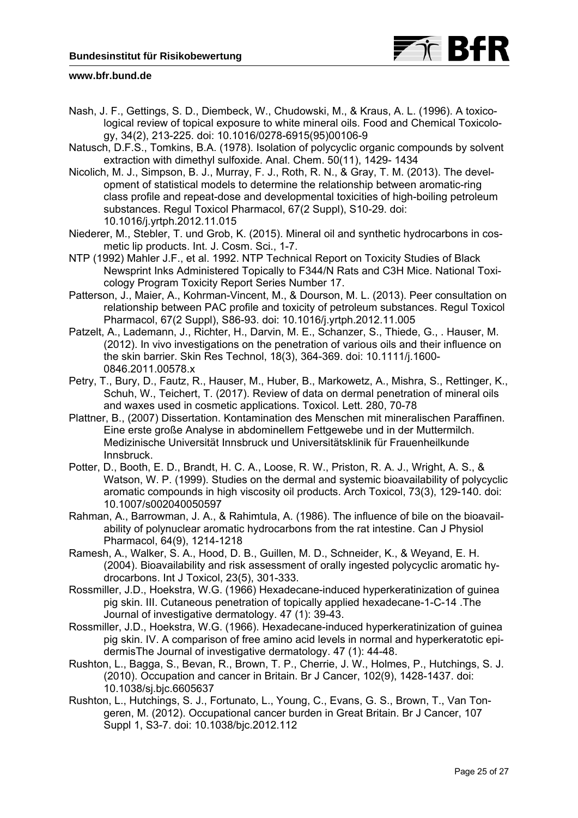

- Nash, J. F., Gettings, S. D., Diembeck, W., Chudowski, M., & Kraus, A. L. (1996). A toxicological review of topical exposure to white mineral oils. Food and Chemical Toxicology, 34(2), 213-225. doi: 10.1016/0278-6915(95)00106-9
- Natusch, D.F.S., Tomkins, B.A. (1978). Isolation of polycyclic organic compounds by solvent extraction with dimethyl sulfoxide. Anal. Chem. 50(11), 1429- 1434
- Nicolich, M. J., Simpson, B. J., Murray, F. J., Roth, R. N., & Gray, T. M. (2013). The development of statistical models to determine the relationship between aromatic-ring class profile and repeat-dose and developmental toxicities of high-boiling petroleum substances. Regul Toxicol Pharmacol, 67(2 Suppl), S10-29. doi: 10.1016/j.yrtph.2012.11.015
- Niederer, M., Stebler, T. und Grob, K. (2015). Mineral oil and synthetic hydrocarbons in cosmetic lip products. Int. J. Cosm. Sci., 1-7.
- NTP (1992) Mahler J.F., et al. 1992. NTP Technical Report on Toxicity Studies of Black Newsprint Inks Administered Topically to F344/N Rats and C3H Mice. National Toxicology Program Toxicity Report Series Number 17.
- Patterson, J., Maier, A., Kohrman-Vincent, M., & Dourson, M. L. (2013). Peer consultation on relationship between PAC profile and toxicity of petroleum substances. Regul Toxicol Pharmacol, 67(2 Suppl), S86-93. doi: 10.1016/j.yrtph.2012.11.005
- Patzelt, A., Lademann, J., Richter, H., Darvin, M. E., Schanzer, S., Thiede, G., . Hauser, M. (2012). In vivo investigations on the penetration of various oils and their influence on the skin barrier. Skin Res Technol, 18(3), 364-369. doi: 10.1111/j.1600- 0846.2011.00578.x
- Petry, T., Bury, D., Fautz, R., Hauser, M., Huber, B., Markowetz, A., Mishra, S., Rettinger, K., Schuh, W., Teichert, T. (2017). Review of data on dermal penetration of mineral oils and waxes used in cosmetic applications. Toxicol. Lett. 280, 70-78
- Plattner, B., (2007) Dissertation. Kontamination des Menschen mit mineralischen Paraffinen. Eine erste große Analyse in abdominellem Fettgewebe und in der Muttermilch. Medizinische Universität Innsbruck und Universitätsklinik für Frauenheilkunde Innsbruck.
- Potter, D., Booth, E. D., Brandt, H. C. A., Loose, R. W., Priston, R. A. J., Wright, A. S., & Watson, W. P. (1999). Studies on the dermal and systemic bioavailability of polycyclic aromatic compounds in high viscosity oil products. Arch Toxicol, 73(3), 129-140. doi: 10.1007/s002040050597
- Rahman, A., Barrowman, J. A., & Rahimtula, A. (1986). The influence of bile on the bioavailability of polynuclear aromatic hydrocarbons from the rat intestine. Can J Physiol Pharmacol, 64(9), 1214-1218
- Ramesh, A., Walker, S. A., Hood, D. B., Guillen, M. D., Schneider, K., & Weyand, E. H. (2004). Bioavailability and risk assessment of orally ingested polycyclic aromatic hydrocarbons. Int J Toxicol, 23(5), 301-333.
- Rossmiller, J.D., Hoekstra, W.G. (1966) Hexadecane-induced hyperkeratinization of guinea pig skin. III. Cutaneous penetration of topically applied hexadecane-1-C-14 .The Journal of investigative dermatology. 47 (1): 39-43.
- Rossmiller, J.D., Hoekstra, W.G. (1966). Hexadecane-induced hyperkeratinization of guinea pig skin. IV. A comparison of free amino acid levels in normal and hyperkeratotic epidermisThe Journal of investigative dermatology. 47 (1): 44-48.
- Rushton, L., Bagga, S., Bevan, R., Brown, T. P., Cherrie, J. W., Holmes, P., Hutchings, S. J. (2010). Occupation and cancer in Britain. Br J Cancer, 102(9), 1428-1437. doi: 10.1038/sj.bjc.6605637
- Rushton, L., Hutchings, S. J., Fortunato, L., Young, C., Evans, G. S., Brown, T., Van Tongeren, M. (2012). Occupational cancer burden in Great Britain. Br J Cancer, 107 Suppl 1, S3-7. doi: 10.1038/bjc.2012.112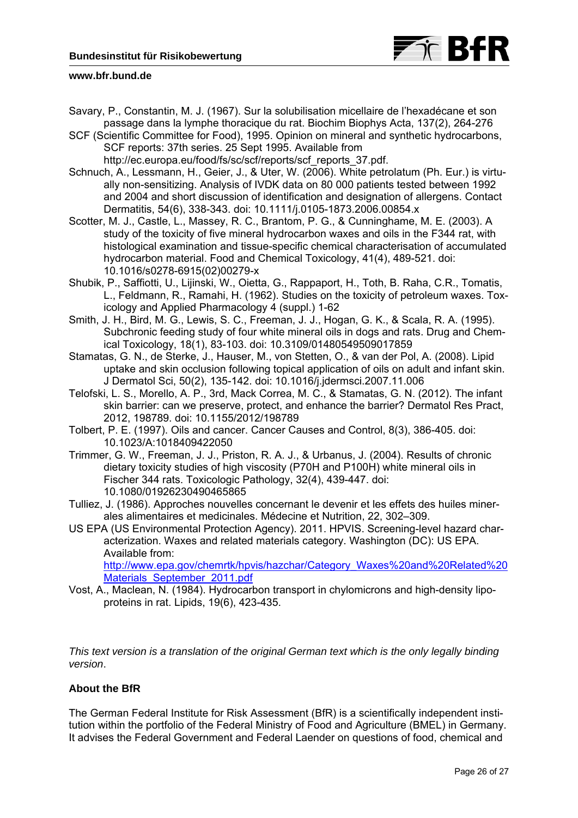

- Savary, P., Constantin, M. J. (1967). Sur la solubilisation micellaire de l'hexadécane et son passage dans la lymphe thoracique du rat. Biochim Biophys Acta, 137(2), 264-276
- SCF (Scientific Committee for Food), 1995. Opinion on mineral and synthetic hydrocarbons, SCF reports: 37th series. 25 Sept 1995. Available from

http://ec.europa.eu/food/fs/sc/scf/reports/scf\_reports\_37.pdf.

- Schnuch, A., Lessmann, H., Geier, J., & Uter, W. (2006). White petrolatum (Ph. Eur.) is virtually non-sensitizing. Analysis of IVDK data on 80 000 patients tested between 1992 and 2004 and short discussion of identification and designation of allergens. Contact Dermatitis, 54(6), 338-343. doi: 10.1111/j.0105-1873.2006.00854.x
- Scotter, M. J., Castle, L., Massey, R. C., Brantom, P. G., & Cunninghame, M. E. (2003). A study of the toxicity of five mineral hydrocarbon waxes and oils in the F344 rat, with histological examination and tissue-specific chemical characterisation of accumulated hydrocarbon material. Food and Chemical Toxicology, 41(4), 489-521. doi: 10.1016/s0278-6915(02)00279-x
- Shubik, P., Saffiotti, U., Lijinski, W., Oietta, G., Rappaport, H., Toth, B. Raha, C.R., Tomatis, L., Feldmann, R., Ramahi, H. (1962). Studies on the toxicity of petroleum waxes. Toxicology and Applied Pharmacology 4 (suppl.) 1-62
- Smith, J. H., Bird, M. G., Lewis, S. C., Freeman, J. J., Hogan, G. K., & Scala, R. A. (1995). Subchronic feeding study of four white mineral oils in dogs and rats. Drug and Chemical Toxicology, 18(1), 83-103. doi: 10.3109/01480549509017859
- Stamatas, G. N., de Sterke, J., Hauser, M., von Stetten, O., & van der Pol, A. (2008). Lipid uptake and skin occlusion following topical application of oils on adult and infant skin. J Dermatol Sci, 50(2), 135-142. doi: 10.1016/j.jdermsci.2007.11.006
- Telofski, L. S., Morello, A. P., 3rd, Mack Correa, M. C., & Stamatas, G. N. (2012). The infant skin barrier: can we preserve, protect, and enhance the barrier? Dermatol Res Pract, 2012, 198789. doi: 10.1155/2012/198789
- Tolbert, P. E. (1997). Oils and cancer. Cancer Causes and Control, 8(3), 386-405. doi: 10.1023/A:1018409422050
- Trimmer, G. W., Freeman, J. J., Priston, R. A. J., & Urbanus, J. (2004). Results of chronic dietary toxicity studies of high viscosity (P70H and P100H) white mineral oils in Fischer 344 rats. Toxicologic Pathology, 32(4), 439-447. doi: 10.1080/01926230490465865
- Tulliez, J. (1986). Approches nouvelles concernant le devenir et les effets des huiles minerales alimentaires et medicinales. Médecine et Nutrition, 22, 302–309.
- US EPA (US Environmental Protection Agency). 2011. HPVIS. Screening-level hazard characterization. Waxes and related materials category. Washington (DC): US EPA. Available from:

http://www.epa.gov/chemrtk/hpvis/hazchar/Category\_Waxes%20and%20Related%20 Materials September 2011.pdf

Vost, A., Maclean, N. (1984). Hydrocarbon transport in chylomicrons and high-density lipoproteins in rat. Lipids, 19(6), 423-435.

*This text version is a translation of the original German text which is the only legally binding version*.

# **About the BfR**

The German Federal Institute for Risk Assessment (BfR) is a scientifically independent institution within the portfolio of the Federal Ministry of Food and Agriculture (BMEL) in Germany. It advises the Federal Government and Federal Laender on questions of food, chemical and